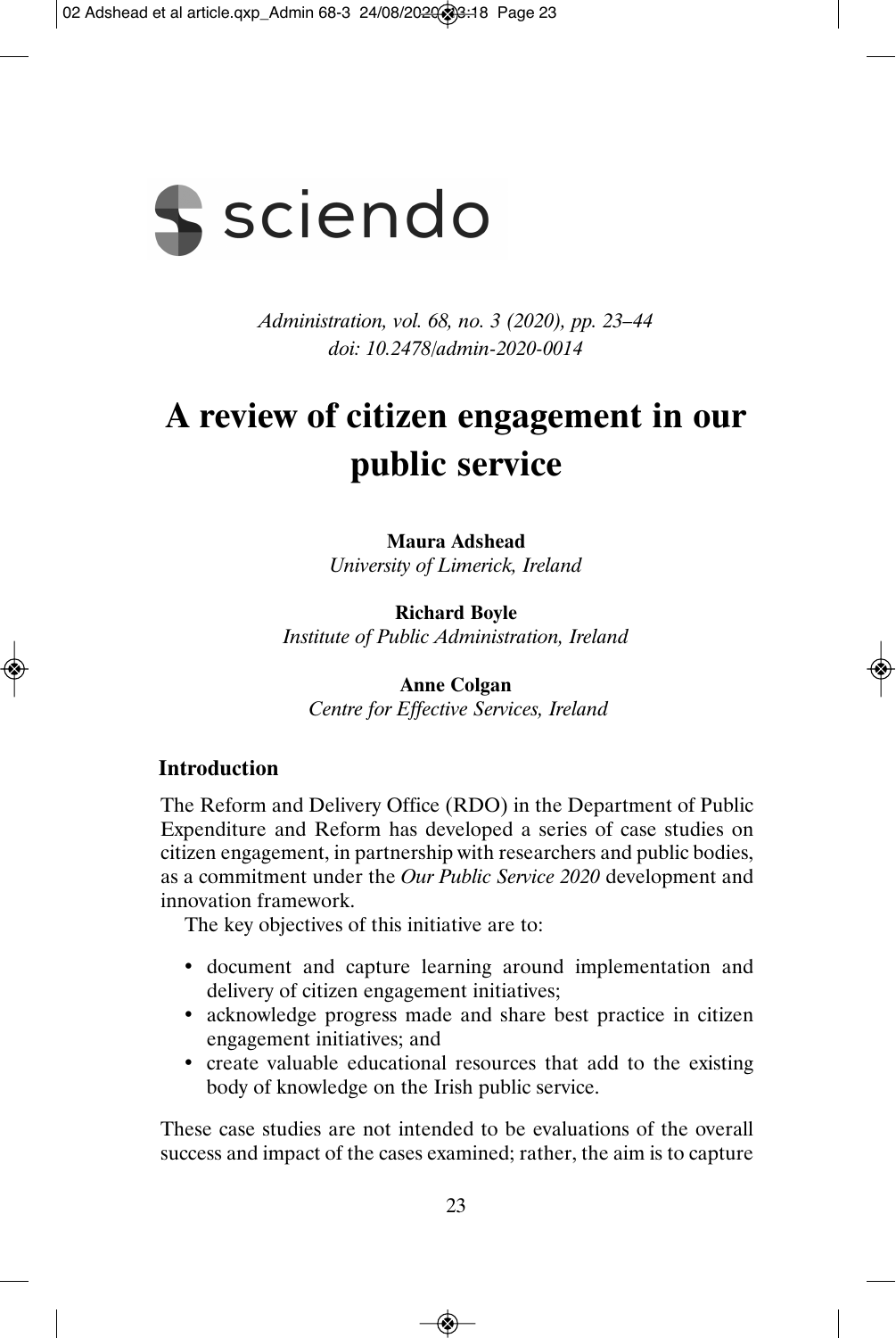

*Administration, vol. 68, no. 3 (2020), pp. 23–44 doi: 10.2478/admin-2020-0014* 

# **A review of citizen engagement in our public service**

**Maura Adshead**  *University of Limerick, Ireland* 

**Richard Boyle**  *Institute of Public Administration, Ireland* 

**Anne Colgan**   *Centre for Effective Services, Ireland* 

## **Introduction**

The Reform and Delivery Office (RDO) in the Department of Public Expenditure and Reform has developed a series of case studies on citizen engagement, in partnership with researchers and public bodies, as a commitment under the *Our Public Service 2020* development and innovation framework.

The key objectives of this initiative are to:

- document and capture learning around implementation and delivery of citizen engagement initiatives;
- acknowledge progress made and share best practice in citizen engagement initiatives; and
- create valuable educational resources that add to the existing body of knowledge on the Irish public service.

These case studies are not intended to be evaluations of the overall success and impact of the cases examined; rather, the aim is to capture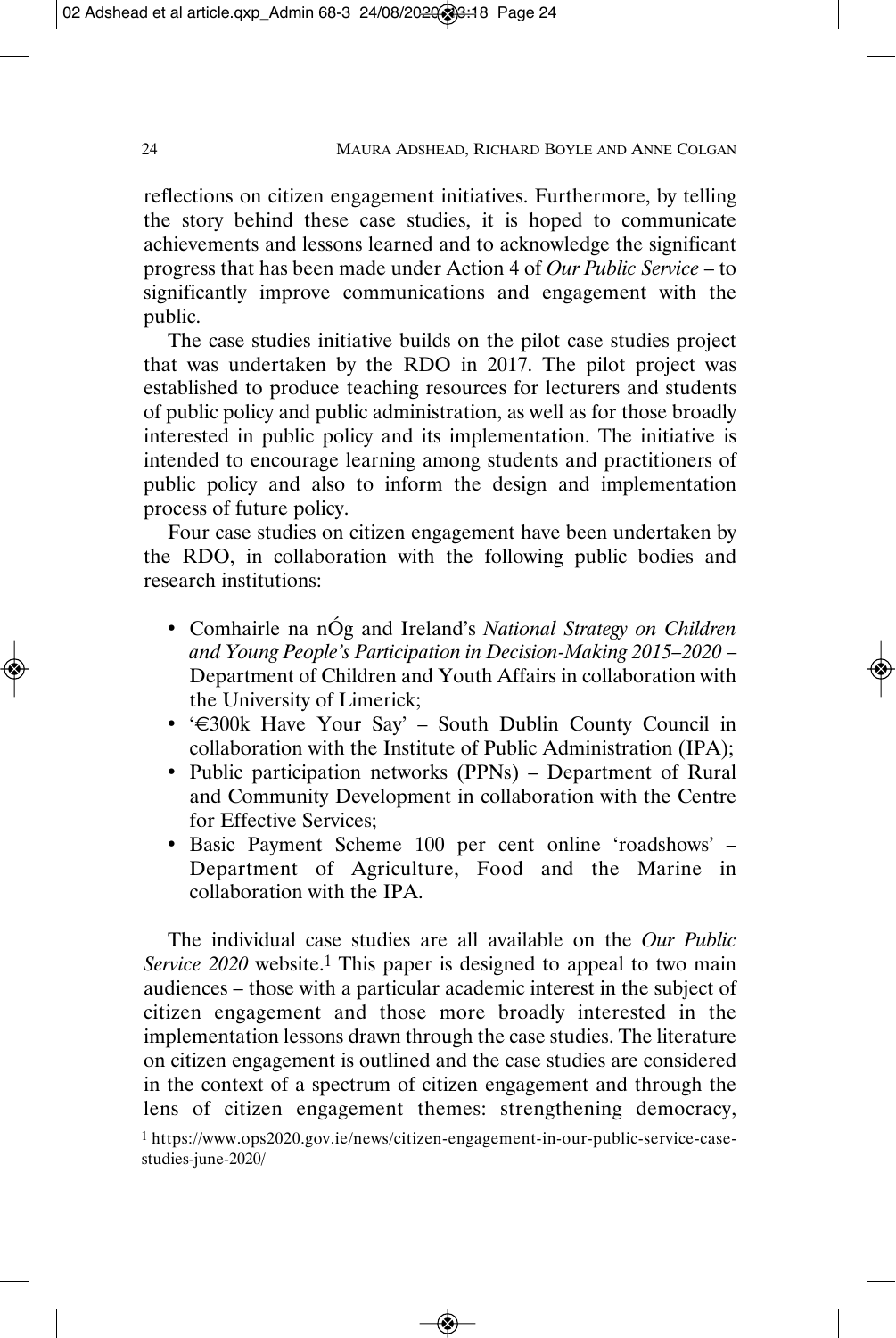reflections on citizen engagement initiatives. Furthermore, by telling the story behind these case studies, it is hoped to communicate achievements and lessons learned and to acknowledge the significant progress that has been made under Action 4 of *Our Public Service* – to significantly improve communications and engagement with the public.

The case studies initiative builds on the pilot case studies project that was undertaken by the RDO in 2017. The pilot project was established to produce teaching resources for lecturers and students of public policy and public administration, as well as for those broadly interested in public policy and its implementation. The initiative is intended to encourage learning among students and practitioners of public policy and also to inform the design and implementation process of future policy.

Four case studies on citizen engagement have been undertaken by the RDO, in collaboration with the following public bodies and research institutions:

- Comhairle na nÓg and Ireland's *National Strategy on Children and Young People's Participation in Decision-Making 2015–2020* – Department of Children and Youth Affairs in collaboration with the University of Limerick;
- '€300k Have Your Say' South Dublin County Council in collaboration with the Institute of Public Administration (IPA);
- Public participation networks (PPNs) Department of Rural and Community Development in collaboration with the Centre for Effective Services;
- Basic Payment Scheme 100 per cent online 'roadshows' Department of Agriculture, Food and the Marine in collaboration with the IPA.

The individual case studies are all available on the *Our Public Service 2020* website.<sup>1</sup> This paper is designed to appeal to two main audiences – those with a particular academic interest in the subject of citizen engagement and those more broadly interested in the implementation lessons drawn through the case studies. The literature on citizen engagement is outlined and the case studies are considered in the context of a spectrum of citizen engagement and through the lens of citizen engagement themes: strengthening democracy,

1 https://www.ops2020.gov.ie/news/citizen-engagement-in-our-public-service-casestudies-june-2020/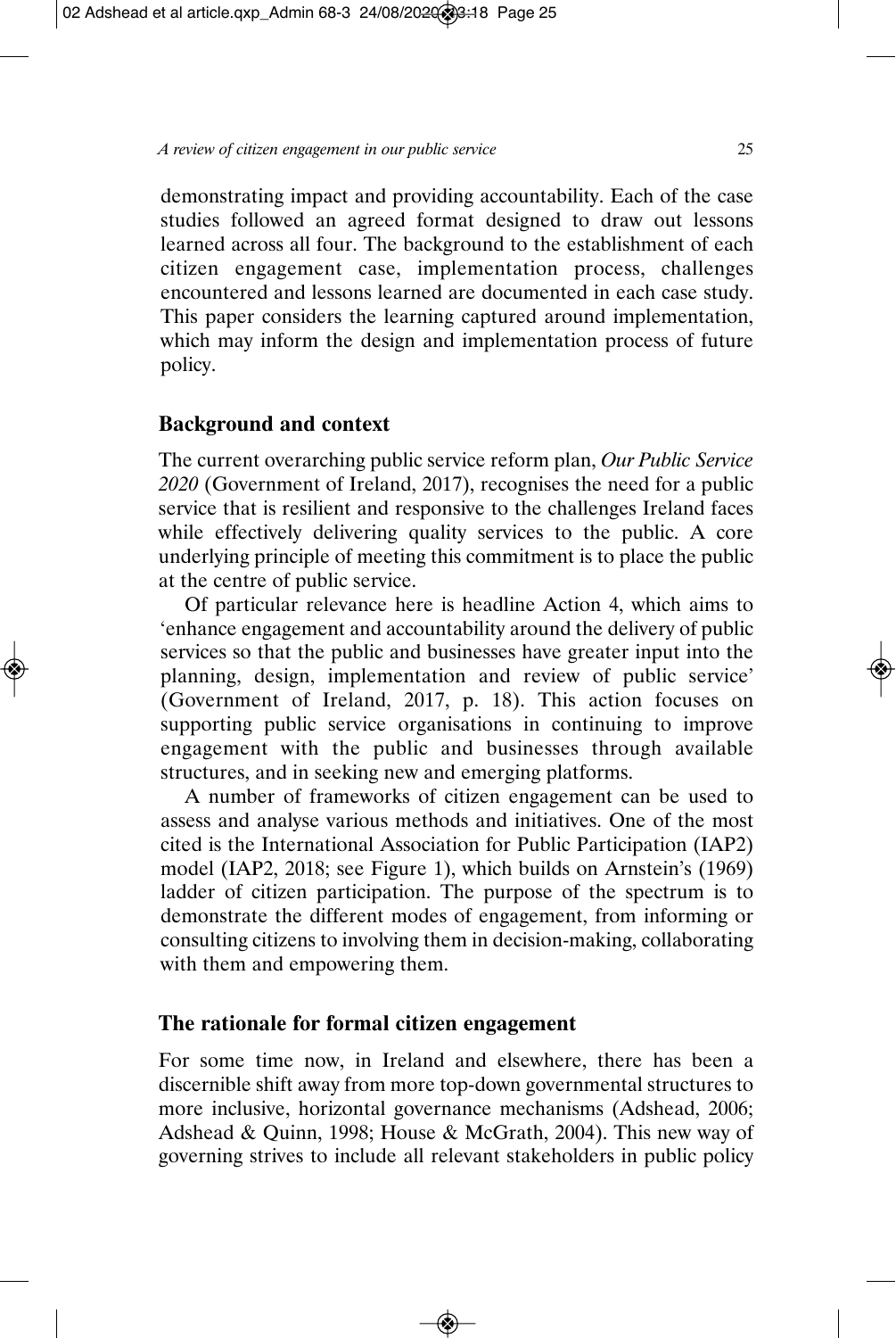demonstrating impact and providing accountability. Each of the case studies followed an agreed format designed to draw out lessons learned across all four. The background to the establishment of each citizen engagement case, implementation process, challenges encountered and lessons learned are documented in each case study. This paper considers the learning captured around implementation, which may inform the design and implementation process of future policy.

#### **Background and context**

The current overarching public service reform plan, *Our Public Service 2020* (Government of Ireland, 2017), recognises the need for a public service that is resilient and responsive to the challenges Ireland faces while effectively delivering quality services to the public. A core underlying principle of meeting this commitment is to place the public at the centre of public service.

Of particular relevance here is headline Action 4, which aims to 'enhance engagement and accountability around the delivery of public services so that the public and businesses have greater input into the planning, design, implementation and review of public service' (Government of Ireland, 2017, p. 18). This action focuses on supporting public service organisations in continuing to improve engagement with the public and businesses through available structures, and in seeking new and emerging platforms.

A number of frameworks of citizen engagement can be used to assess and analyse various methods and initiatives. One of the most cited is the International Association for Public Participation (IAP2) model (IAP2, 2018; see Figure 1), which builds on Arnstein's (1969) ladder of citizen participation. The purpose of the spectrum is to demonstrate the different modes of engagement, from informing or consulting citizens to involving them in decision-making, collaborating with them and empowering them.

#### **The rationale for formal citizen engagement**

For some time now, in Ireland and elsewhere, there has been a discernible shift away from more top-down governmental structures to more inclusive, horizontal governance mechanisms (Adshead, 2006; Adshead & Quinn, 1998; House & McGrath, 2004). This new way of governing strives to include all relevant stakeholders in public policy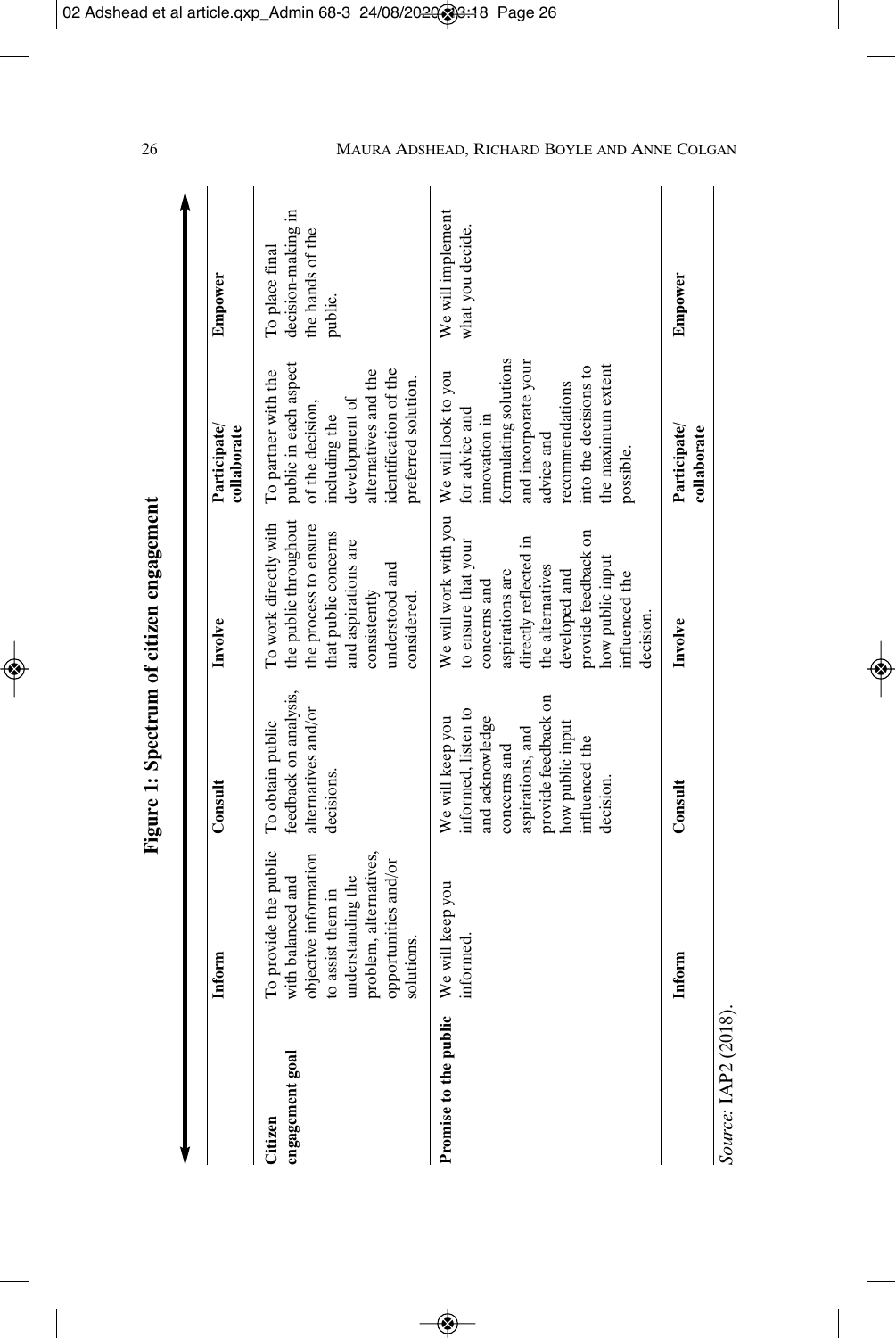|                            |                                                                                                                                                                               |                                                                                                                                                                         | Figure 1: Spectrum of citizen engagement                                                                                                                                                                                                    |                                                                                                                                                                              |                                                                     |
|----------------------------|-------------------------------------------------------------------------------------------------------------------------------------------------------------------------------|-------------------------------------------------------------------------------------------------------------------------------------------------------------------------|---------------------------------------------------------------------------------------------------------------------------------------------------------------------------------------------------------------------------------------------|------------------------------------------------------------------------------------------------------------------------------------------------------------------------------|---------------------------------------------------------------------|
|                            | Inform                                                                                                                                                                        | Consult                                                                                                                                                                 | Involve                                                                                                                                                                                                                                     | Participate/<br>collaborate                                                                                                                                                  | Empower                                                             |
| engagement goal<br>Citizen | To provide the public<br>problem, alternatives,<br>objective information<br>opportunities and/or<br>with balanced and<br>understanding the<br>to assist them in<br>solutions. | feedback on analysis,<br>alternatives and/or<br>To obtain public<br>decisions.                                                                                          | the public throughout<br>To work directly with<br>the process to ensure<br>that public concerns<br>and aspirations are<br>understood and<br>consistently<br>considered.                                                                     | public in each aspect<br>To partner with the<br>alternatives and the<br>identification of the<br>preferred solution.<br>development of<br>of the decision,<br>including the  | decision-making in<br>the hands of the<br>To place final<br>public. |
| Promise to the public      | We will keep you<br>informed                                                                                                                                                  | provide feedback on<br>informed, listen to<br>We will keep you<br>and acknowledge<br>how public input<br>aspirations, and<br>influenced the<br>concerns and<br>decision | We will work with you We will look to you<br>provide feedback on<br>directly reflected in<br>to ensure that your<br>how public input<br>the alternatives<br>aspirations are<br>developed and<br>influenced the<br>concerns and<br>decision. | formulating solutions<br>and incorporate your<br>into the decisions to<br>he maximum extent<br>recommendations<br>for advice and<br>innovation in<br>advice and<br>possible. | We will implement<br>what you decide.                               |
|                            | Inform                                                                                                                                                                        | Consult                                                                                                                                                                 | Involve                                                                                                                                                                                                                                     | Participate/<br>collaborate                                                                                                                                                  | Empower                                                             |
| Source: LAP2 (2018).       |                                                                                                                                                                               |                                                                                                                                                                         |                                                                                                                                                                                                                                             |                                                                                                                                                                              |                                                                     |

#### 26 MAURA ADSHEAD, RICHARD BOYLE AND ANNE COLGAN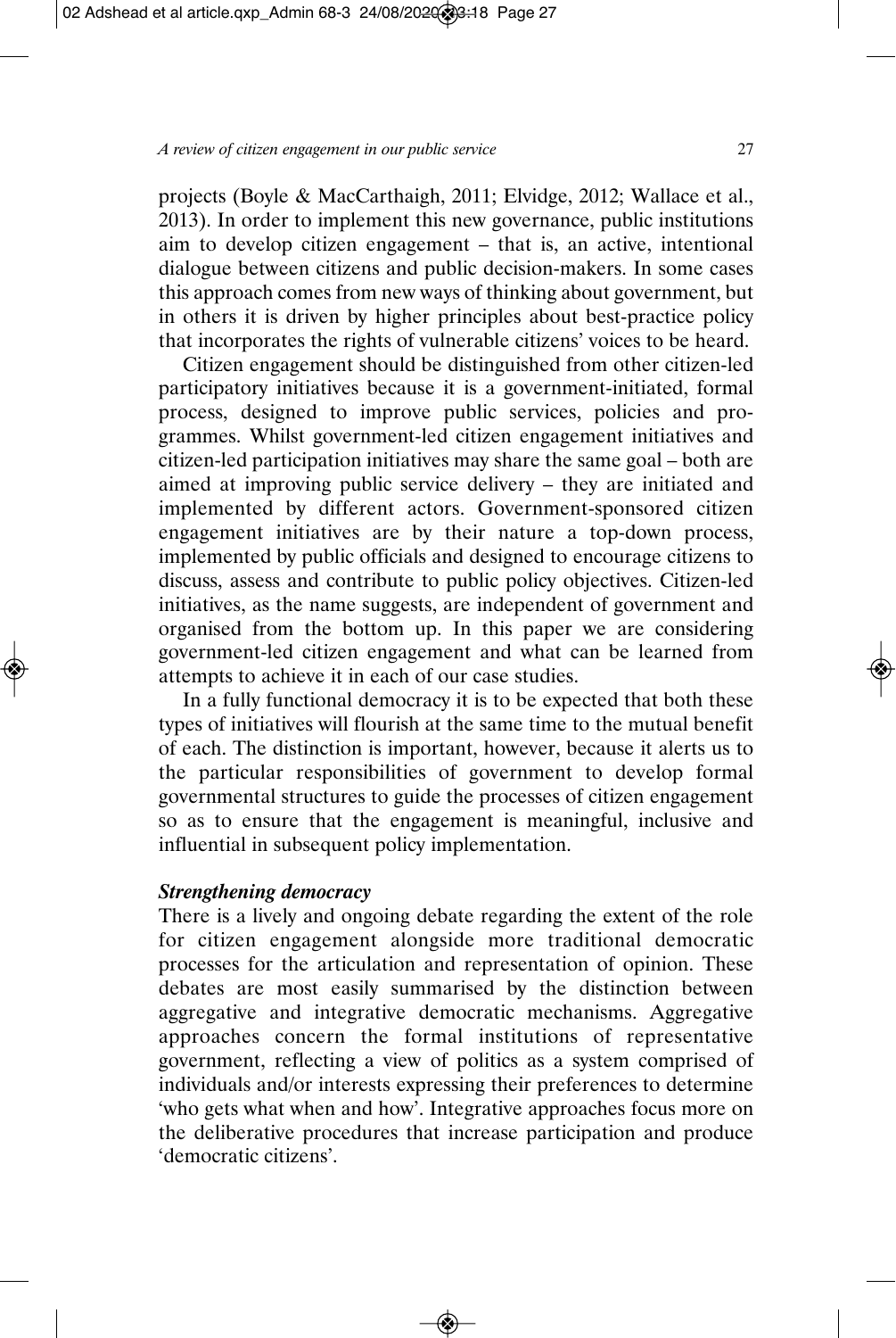projects (Boyle & MacCarthaigh, 2011; Elvidge, 2012; Wallace et al., 2013). In order to implement this new governance, public institutions aim to develop citizen engagement – that is, an active, intentional dialogue between citizens and public decision-makers. In some cases this approach comes from new ways of thinking about government, but in others it is driven by higher principles about best-practice policy that incorporates the rights of vulnerable citizens' voices to be heard.

Citizen engagement should be distinguished from other citizen-led participatory initiatives because it is a government-initiated, formal process, designed to improve public services, policies and programmes. Whilst government-led citizen engagement initiatives and citizen-led participation initiatives may share the same goal – both are aimed at improving public service delivery – they are initiated and implemented by different actors. Government-sponsored citizen engagement initiatives are by their nature a top-down process, implemented by public officials and designed to encourage citizens to discuss, assess and contribute to public policy objectives. Citizen-led initiatives, as the name suggests, are independent of government and organised from the bottom up. In this paper we are considering government-led citizen engagement and what can be learned from attempts to achieve it in each of our case studies.

In a fully functional democracy it is to be expected that both these types of initiatives will flourish at the same time to the mutual benefit of each. The distinction is important, however, because it alerts us to the particular responsibilities of government to develop formal governmental structures to guide the processes of citizen engagement so as to ensure that the engagement is meaningful, inclusive and influential in subsequent policy implementation.

## *Strengthening democracy*

There is a lively and ongoing debate regarding the extent of the role for citizen engagement alongside more traditional democratic processes for the articulation and representation of opinion. These debates are most easily summarised by the distinction between aggregative and integrative democratic mechanisms. Aggregative approaches concern the formal institutions of representative government, reflecting a view of politics as a system comprised of individuals and/or interests expressing their preferences to determine 'who gets what when and how'. Integrative approaches focus more on the deliberative procedures that increase participation and produce 'democratic citizens'.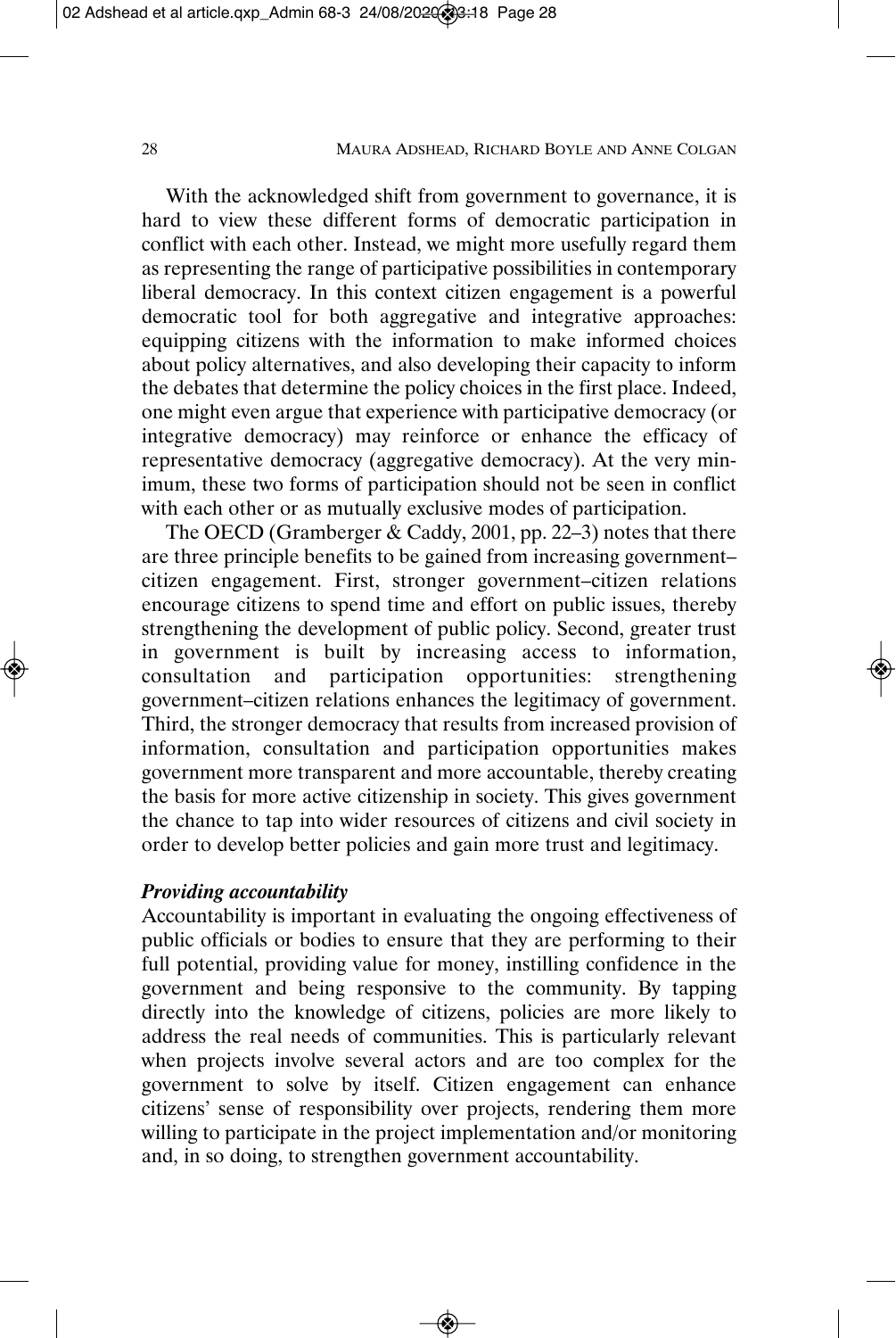With the acknowledged shift from government to governance, it is hard to view these different forms of democratic participation in conflict with each other. Instead, we might more usefully regard them as representing the range of participative possibilities in contemporary liberal democracy. In this context citizen engagement is a powerful democratic tool for both aggregative and integrative approaches: equipping citizens with the information to make informed choices about policy alternatives, and also developing their capacity to inform the debates that determine the policy choices in the first place. Indeed, one might even argue that experience with participative democracy (or integrative democracy) may reinforce or enhance the efficacy of representative democracy (aggregative democracy). At the very minimum, these two forms of participation should not be seen in conflict with each other or as mutually exclusive modes of participation.

The OECD (Gramberger & Caddy, 2001, pp. 22–3) notes that there are three principle benefits to be gained from increasing government– citizen engagement. First, stronger government–citizen relations encourage citizens to spend time and effort on public issues, thereby strengthening the development of public policy. Second, greater trust in government is built by increasing access to information, consultation and participation opportunities: strengthening government–citizen relations enhances the legitimacy of government. Third, the stronger democracy that results from increased provision of information, consultation and participation opportunities makes government more transparent and more accountable, thereby creating the basis for more active citizenship in society. This gives government the chance to tap into wider resources of citizens and civil society in order to develop better policies and gain more trust and legitimacy.

## *Providing accountability*

Accountability is important in evaluating the ongoing effectiveness of public officials or bodies to ensure that they are performing to their full potential, providing value for money, instilling confidence in the government and being responsive to the community. By tapping directly into the knowledge of citizens, policies are more likely to address the real needs of communities. This is particularly relevant when projects involve several actors and are too complex for the government to solve by itself. Citizen engagement can enhance citizens' sense of responsibility over projects, rendering them more willing to participate in the project implementation and/or monitoring and, in so doing, to strengthen government accountability.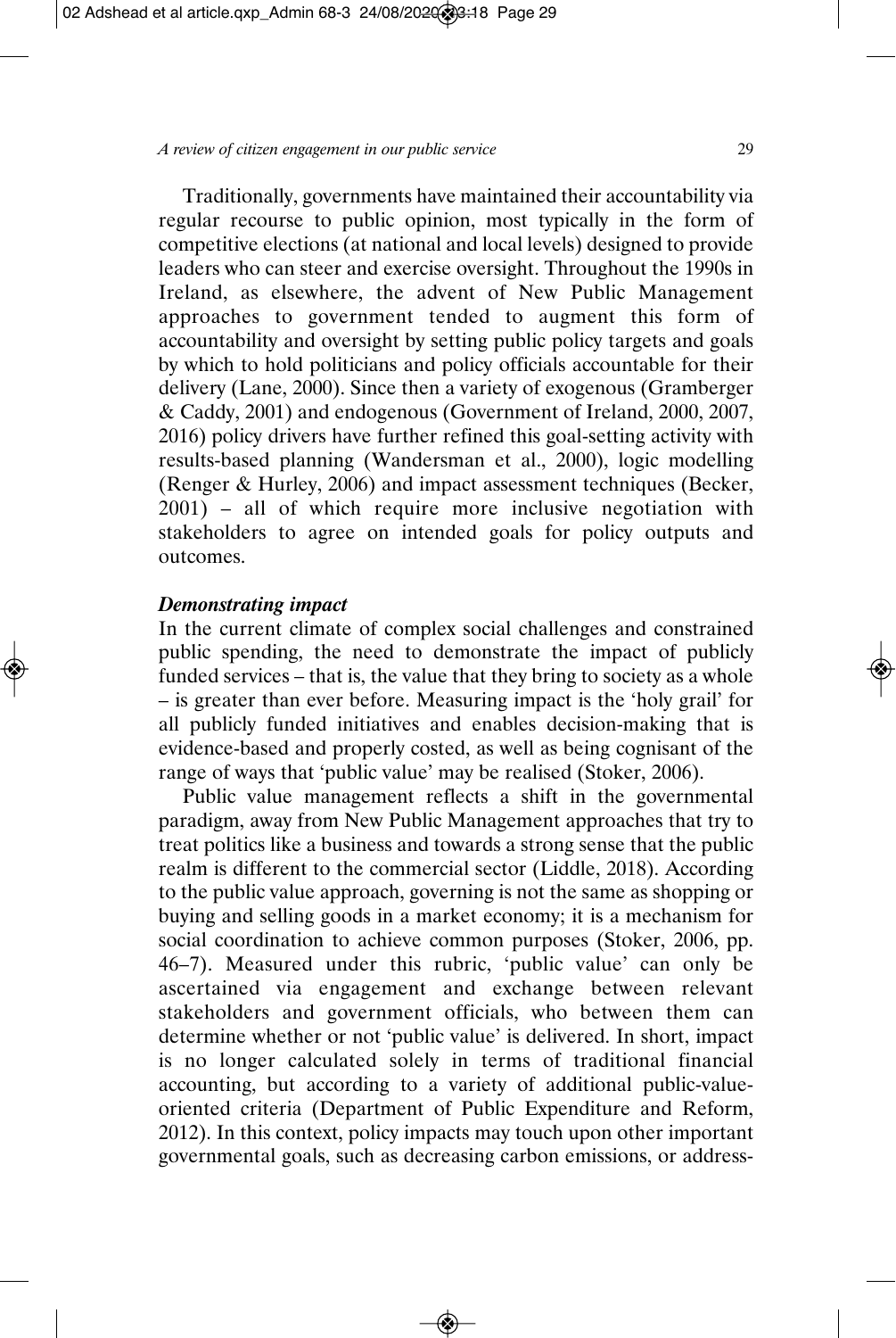Traditionally, governments have maintained their accountability via regular recourse to public opinion, most typically in the form of competitive elections (at national and local levels) designed to provide leaders who can steer and exercise oversight. Throughout the 1990s in Ireland, as elsewhere, the advent of New Public Management approaches to government tended to augment this form of accountability and oversight by setting public policy targets and goals by which to hold politicians and policy officials accountable for their delivery (Lane, 2000). Since then a variety of exogenous (Gramberger & Caddy, 2001) and endogenous (Government of Ireland, 2000, 2007, 2016) policy drivers have further refined this goal-setting activity with results-based planning (Wandersman et al., 2000), logic modelling (Renger & Hurley, 2006) and impact assessment techniques (Becker, 2001) – all of which require more inclusive negotiation with stakeholders to agree on intended goals for policy outputs and outcomes.

#### *Demonstrating impact*

In the current climate of complex social challenges and constrained public spending, the need to demonstrate the impact of publicly funded services – that is, the value that they bring to society as a whole – is greater than ever before. Measuring impact is the 'holy grail' for all publicly funded initiatives and enables decision-making that is evidence-based and properly costed, as well as being cognisant of the range of ways that 'public value' may be realised (Stoker, 2006).

Public value management reflects a shift in the governmental paradigm, away from New Public Management approaches that try to treat politics like a business and towards a strong sense that the public realm is different to the commercial sector (Liddle, 2018). According to the public value approach, governing is not the same as shopping or buying and selling goods in a market economy; it is a mechanism for social coordination to achieve common purposes (Stoker, 2006, pp. 46–7). Measured under this rubric, 'public value' can only be ascertained via engagement and exchange between relevant stakeholders and government officials, who between them can determine whether or not 'public value' is delivered. In short, impact is no longer calculated solely in terms of traditional financial accounting, but according to a variety of additional public-valueoriented criteria (Department of Public Expenditure and Reform, 2012). In this context, policy impacts may touch upon other important governmental goals, such as decreasing carbon emissions, or address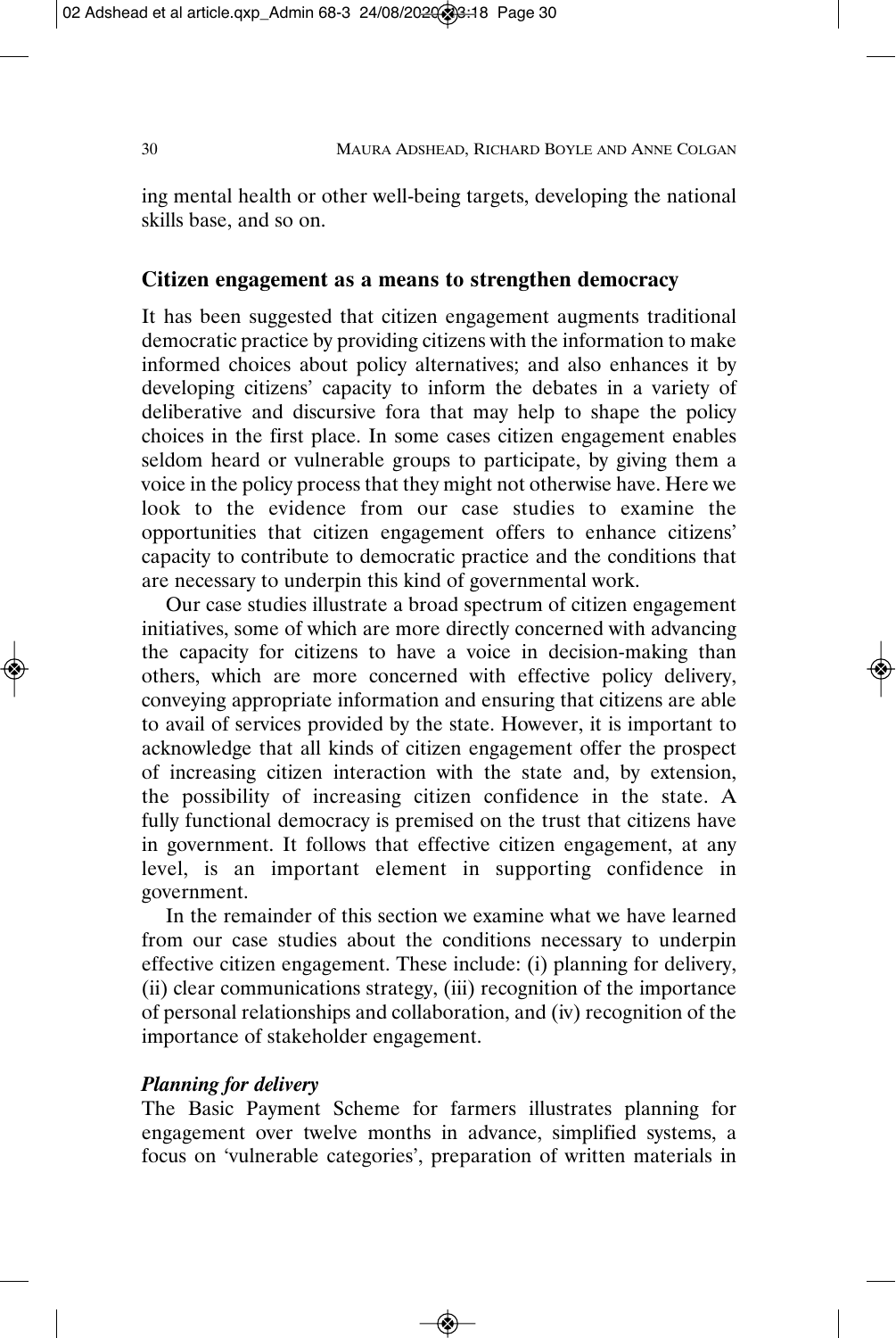ing mental health or other well-being targets, developing the national skills base, and so on.

## **Citizen engagement as a means to strengthen democracy**

It has been suggested that citizen engagement augments traditional democratic practice by providing citizens with the information to make informed choices about policy alternatives; and also enhances it by developing citizens' capacity to inform the debates in a variety of deliberative and discursive fora that may help to shape the policy choices in the first place. In some cases citizen engagement enables seldom heard or vulnerable groups to participate, by giving them a voice in the policy process that they might not otherwise have. Here we look to the evidence from our case studies to examine the opportunities that citizen engagement offers to enhance citizens' capacity to contribute to democratic practice and the conditions that are necessary to underpin this kind of governmental work.

Our case studies illustrate a broad spectrum of citizen engagement initiatives, some of which are more directly concerned with advancing the capacity for citizens to have a voice in decision-making than others, which are more concerned with effective policy delivery, conveying appropriate information and ensuring that citizens are able to avail of services provided by the state. However, it is important to acknowledge that all kinds of citizen engagement offer the prospect of increasing citizen interaction with the state and, by extension, the possibility of increasing citizen confidence in the state. A fully functional democracy is premised on the trust that citizens have in government. It follows that effective citizen engagement, at any level, is an important element in supporting confidence in government.

In the remainder of this section we examine what we have learned from our case studies about the conditions necessary to underpin effective citizen engagement. These include: (i) planning for delivery, (ii) clear communications strategy, (iii) recognition of the importance of personal relationships and collaboration, and (iv) recognition of the importance of stakeholder engagement.

#### *Planning for delivery*

The Basic Payment Scheme for farmers illustrates planning for engagement over twelve months in advance, simplified systems, a focus on 'vulnerable categories', preparation of written materials in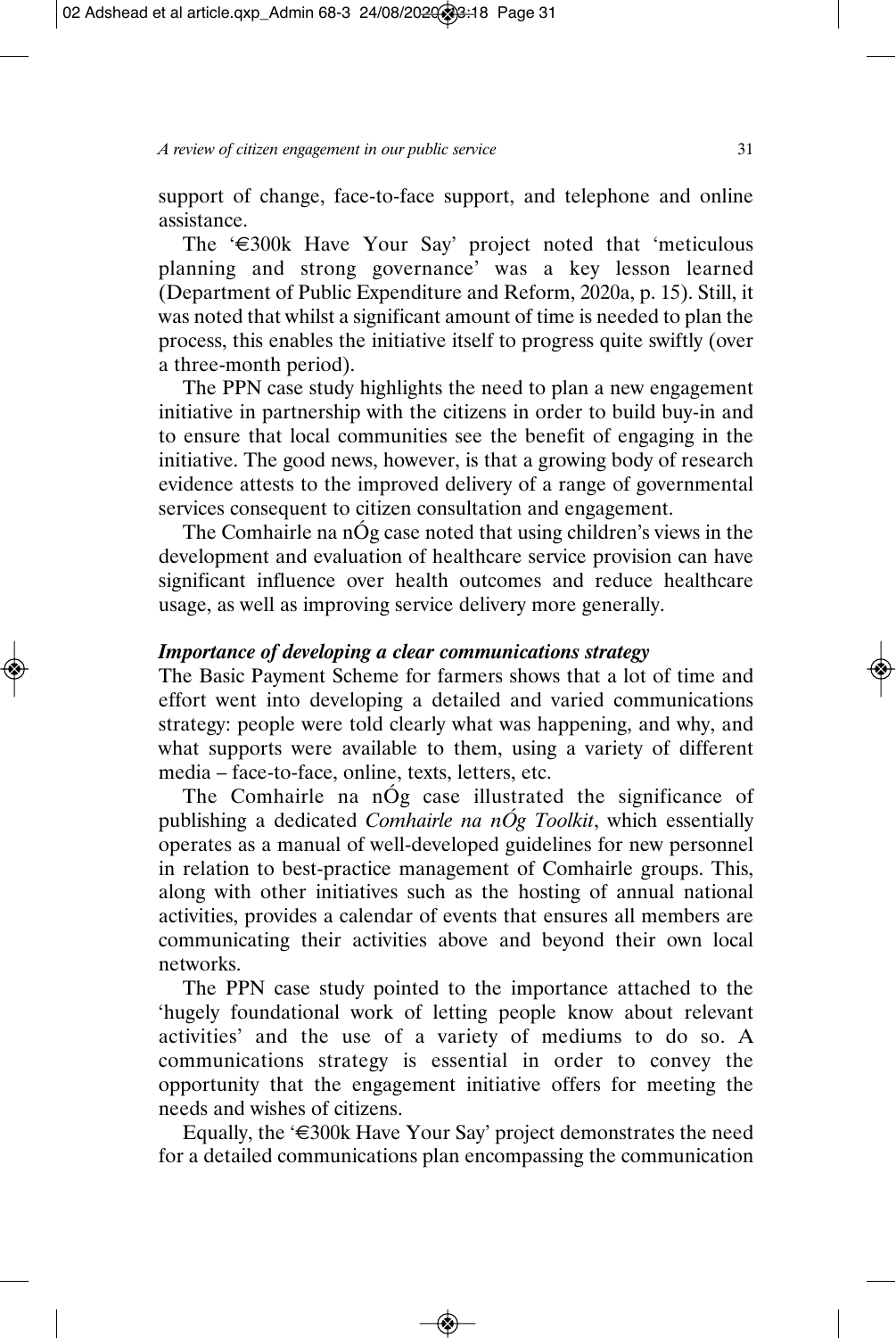support of change, face-to-face support, and telephone and online assistance.

The '€300k Have Your Say' project noted that 'meticulous planning and strong governance' was a key lesson learned (Department of Public Expenditure and Reform, 2020a, p. 15). Still, it was noted that whilst a significant amount of time is needed to plan the process, this enables the initiative itself to progress quite swiftly (over a three-month period).

The PPN case study highlights the need to plan a new engagement initiative in partnership with the citizens in order to build buy-in and to ensure that local communities see the benefit of engaging in the initiative. The good news, however, is that a growing body of research evidence attests to the improved delivery of a range of governmental services consequent to citizen consultation and engagement.

The Comhairle na nÓg case noted that using children's views in the development and evaluation of healthcare service provision can have significant influence over health outcomes and reduce healthcare usage, as well as improving service delivery more generally.

#### *Importance of developing a clear communications strategy*

The Basic Payment Scheme for farmers shows that a lot of time and effort went into developing a detailed and varied communications strategy: people were told clearly what was happening, and why, and what supports were available to them, using a variety of different media – face-to-face, online, texts, letters, etc.

The Comhairle na nÓg case illustrated the significance of publishing a dedicated *Comhairle na nÓg Toolkit*, which essentially operates as a manual of well-developed guidelines for new personnel in relation to best-practice management of Comhairle groups. This, along with other initiatives such as the hosting of annual national activities, provides a calendar of events that ensures all members are communicating their activities above and beyond their own local networks.

The PPN case study pointed to the importance attached to the 'hugely foundational work of letting people know about relevant activities' and the use of a variety of mediums to do so. A communications strategy is essential in order to convey the opportunity that the engagement initiative offers for meeting the needs and wishes of citizens.

Equally, the '€300k Have Your Say' project demonstrates the need for a detailed communications plan encompassing the communication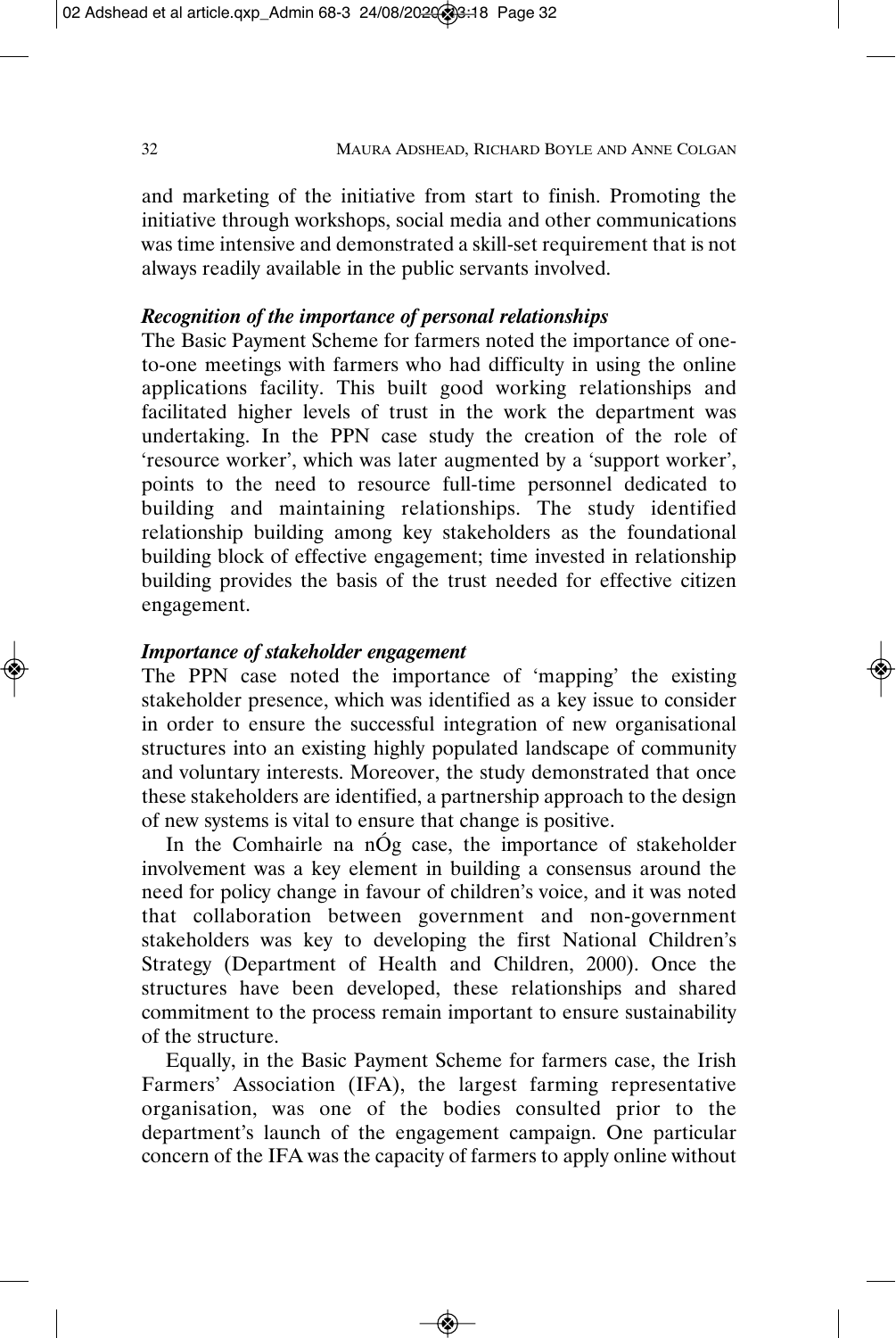and marketing of the initiative from start to finish. Promoting the initiative through workshops, social media and other communications was time intensive and demonstrated a skill-set requirement that is not always readily available in the public servants involved.

## *Recognition of the importance of personal relationships*

The Basic Payment Scheme for farmers noted the importance of oneto-one meetings with farmers who had difficulty in using the online applications facility. This built good working relationships and facilitated higher levels of trust in the work the department was undertaking. In the PPN case study the creation of the role of 'resource worker', which was later augmented by a 'support worker', points to the need to resource full-time personnel dedicated to building and maintaining relationships. The study identified relationship building among key stakeholders as the foundational building block of effective engagement; time invested in relationship building provides the basis of the trust needed for effective citizen engagement.

## *Importance of stakeholder engagement*

The PPN case noted the importance of 'mapping' the existing stakeholder presence, which was identified as a key issue to consider in order to ensure the successful integration of new organisational structures into an existing highly populated landscape of community and voluntary interests. Moreover, the study demonstrated that once these stakeholders are identified, a partnership approach to the design of new systems is vital to ensure that change is positive.

In the Comhairle na nÓg case, the importance of stakeholder involvement was a key element in building a consensus around the need for policy change in favour of children's voice, and it was noted that collaboration between government and non-government stakeholders was key to developing the first National Children's Strategy (Department of Health and Children, 2000). Once the structures have been developed, these relationships and shared commitment to the process remain important to ensure sustainability of the structure.

Equally, in the Basic Payment Scheme for farmers case, the Irish Farmers' Association (IFA), the largest farming representative organisation, was one of the bodies consulted prior to the department's launch of the engagement campaign. One particular concern of the IFA was the capacity of farmers to apply online without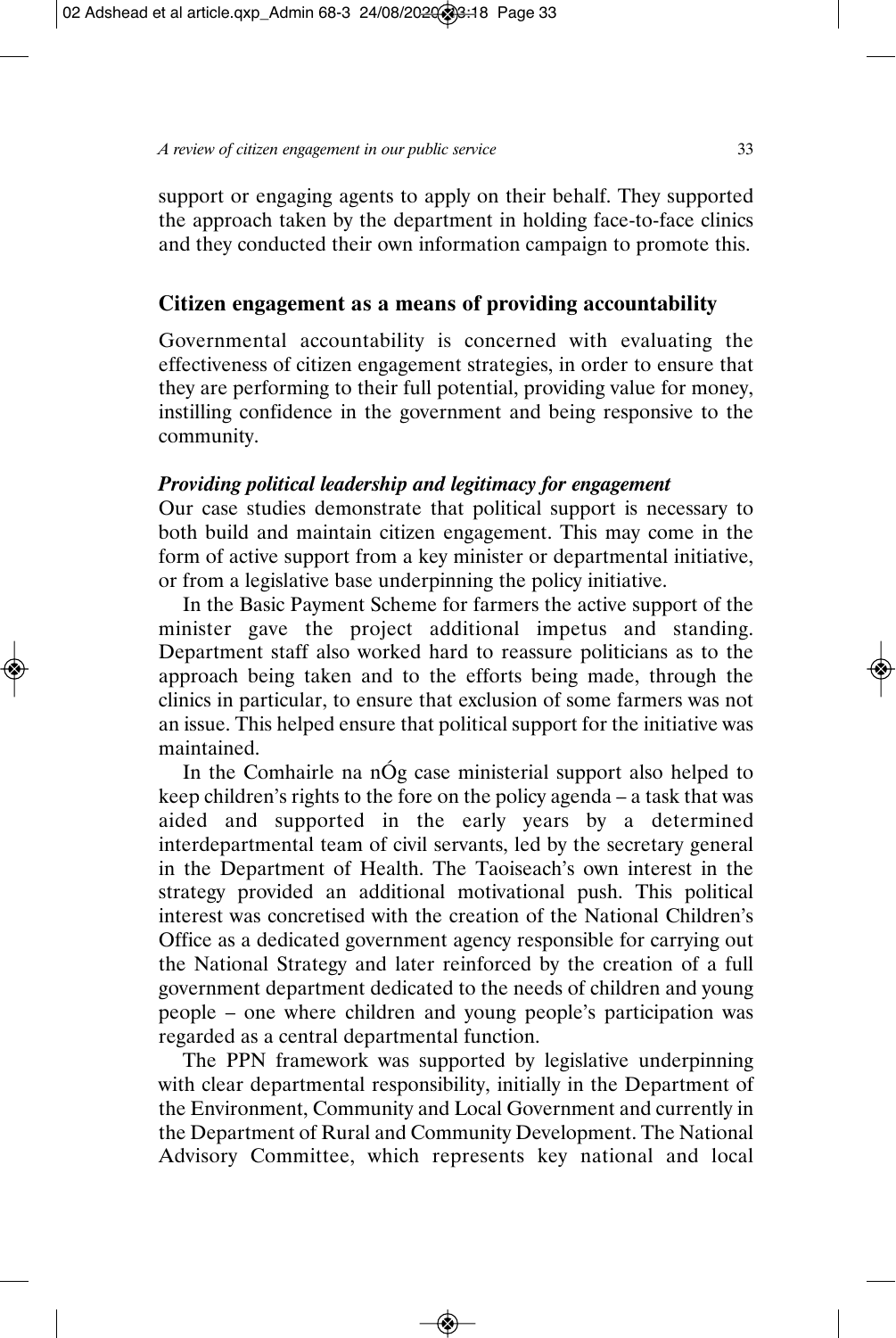support or engaging agents to apply on their behalf. They supported the approach taken by the department in holding face-to-face clinics and they conducted their own information campaign to promote this.

## **Citizen engagement as a means of providing accountability**

Governmental accountability is concerned with evaluating the effectiveness of citizen engagement strategies, in order to ensure that they are performing to their full potential, providing value for money, instilling confidence in the government and being responsive to the community.

## *Providing political leadership and legitimacy for engagement*

Our case studies demonstrate that political support is necessary to both build and maintain citizen engagement. This may come in the form of active support from a key minister or departmental initiative, or from a legislative base underpinning the policy initiative.

In the Basic Payment Scheme for farmers the active support of the minister gave the project additional impetus and standing. Department staff also worked hard to reassure politicians as to the approach being taken and to the efforts being made, through the clinics in particular, to ensure that exclusion of some farmers was not an issue. This helped ensure that political support for the initiative was maintained.

In the Comhairle na nÓg case ministerial support also helped to keep children's rights to the fore on the policy agenda – a task that was aided and supported in the early years by a determined interdepartmental team of civil servants, led by the secretary general in the Department of Health. The Taoiseach's own interest in the strategy provided an additional motivational push. This political interest was concretised with the creation of the National Children's Office as a dedicated government agency responsible for carrying out the National Strategy and later reinforced by the creation of a full government department dedicated to the needs of children and young people – one where children and young people's participation was regarded as a central departmental function.

The PPN framework was supported by legislative underpinning with clear departmental responsibility, initially in the Department of the Environment, Community and Local Government and currently in the Department of Rural and Community Development. The National Advisory Committee, which represents key national and local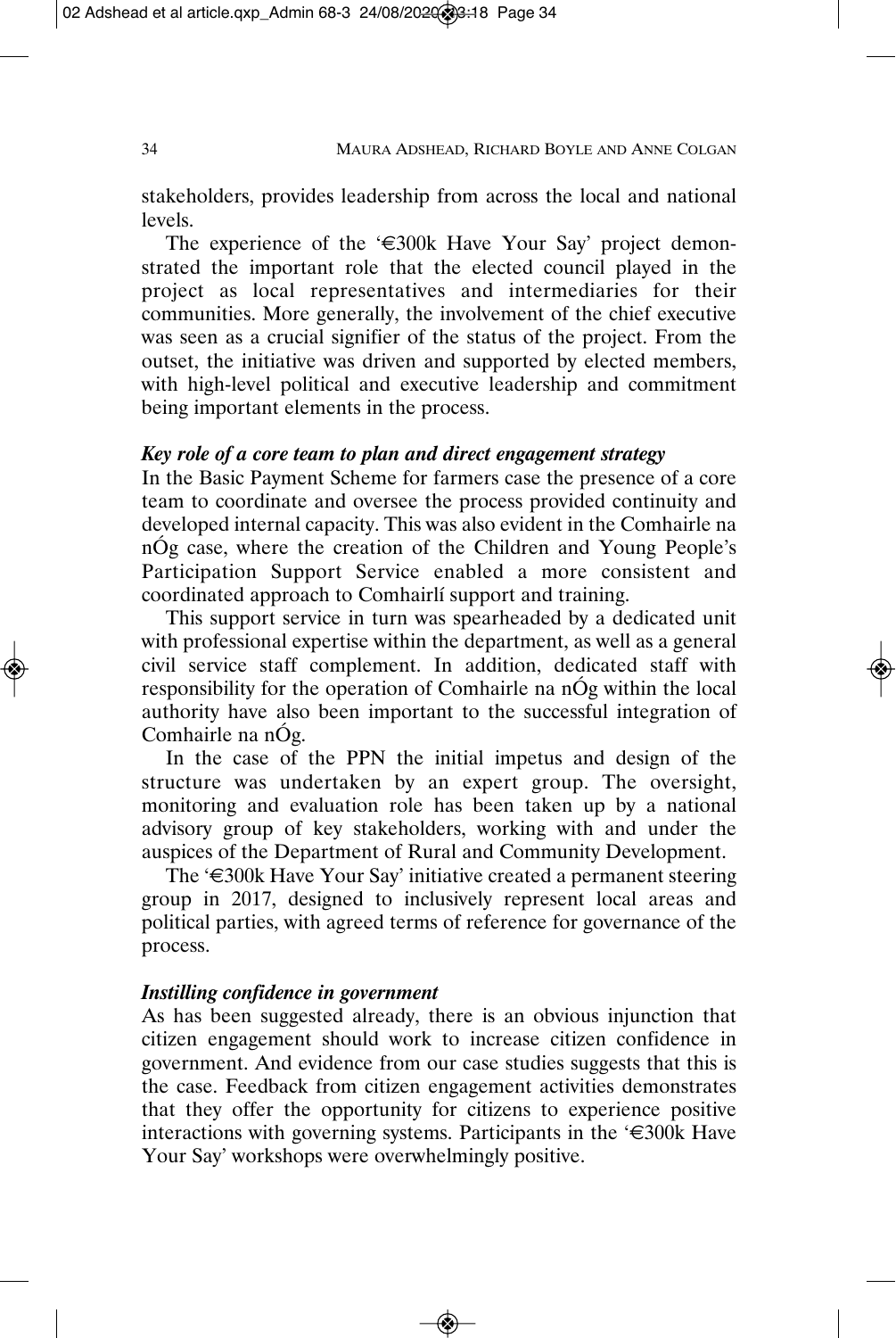stakeholders, provides leadership from across the local and national levels.

The experience of the '€300k Have Your Say' project demonstrated the important role that the elected council played in the project as local representatives and intermediaries for their communities. More generally, the involvement of the chief executive was seen as a crucial signifier of the status of the project. From the outset, the initiative was driven and supported by elected members, with high-level political and executive leadership and commitment being important elements in the process.

## *Key role of a core team to plan and direct engagement strategy*

In the Basic Payment Scheme for farmers case the presence of a core team to coordinate and oversee the process provided continuity and developed internal capacity. This was also evident in the Comhairle na nÓg case, where the creation of the Children and Young People's Participation Support Service enabled a more consistent and coordinated approach to Comhairlí support and training.

This support service in turn was spearheaded by a dedicated unit with professional expertise within the department, as well as a general civil service staff complement. In addition, dedicated staff with responsibility for the operation of Comhairle na nÓg within the local authority have also been important to the successful integration of Comhairle na nÓg.

In the case of the PPN the initial impetus and design of the structure was undertaken by an expert group. The oversight, monitoring and evaluation role has been taken up by a national advisory group of key stakeholders, working with and under the auspices of the Department of Rural and Community Development.

The '€300k Have Your Say' initiative created a permanent steering group in 2017, designed to inclusively represent local areas and political parties, with agreed terms of reference for governance of the process.

#### *Instilling confidence in government*

As has been suggested already, there is an obvious injunction that citizen engagement should work to increase citizen confidence in government. And evidence from our case studies suggests that this is the case. Feedback from citizen engagement activities demonstrates that they offer the opportunity for citizens to experience positive interactions with governing systems. Participants in the '€300k Have Your Say' workshops were overwhelmingly positive.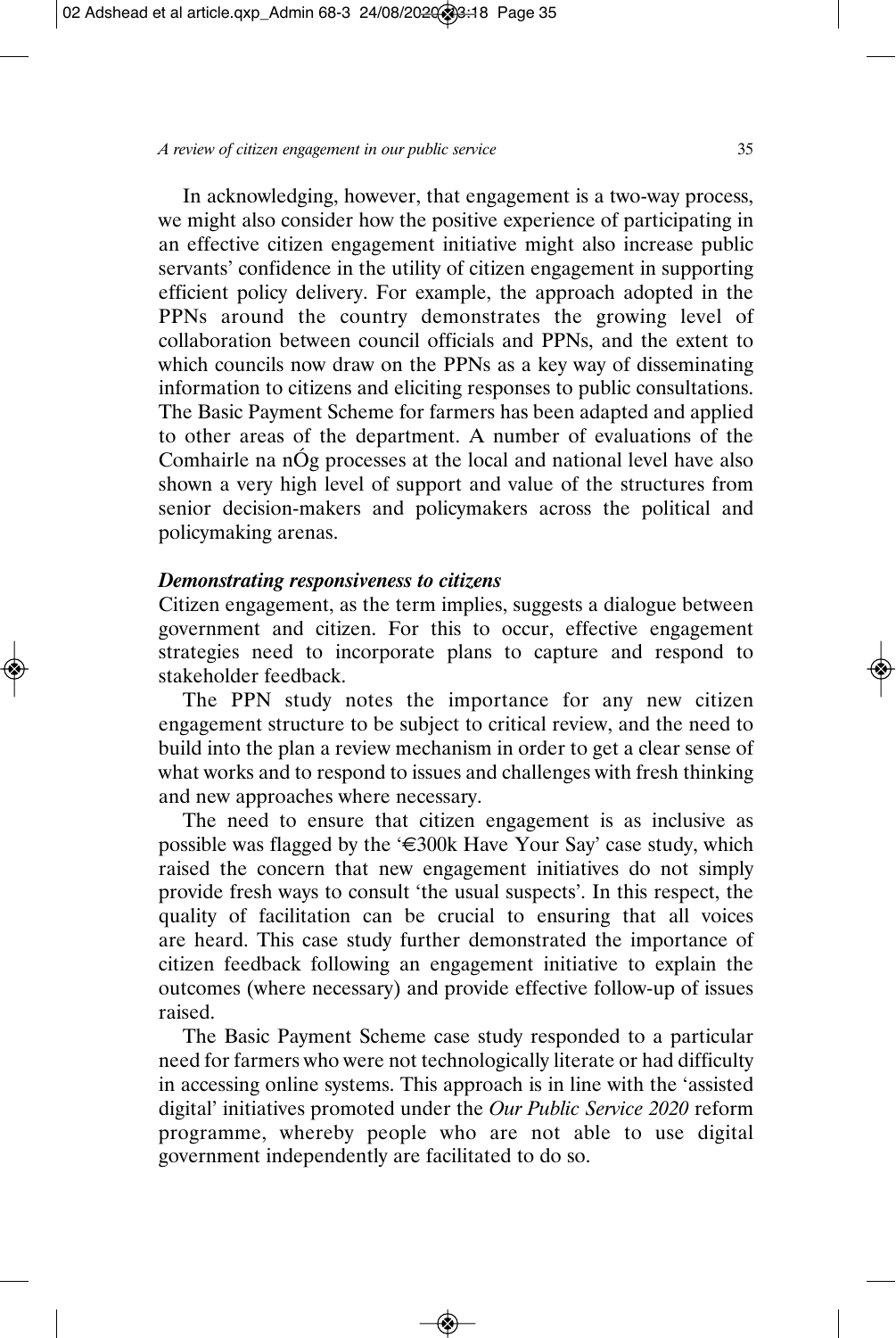In acknowledging, however, that engagement is a two-way process, we might also consider how the positive experience of participating in an effective citizen engagement initiative might also increase public servants' confidence in the utility of citizen engagement in supporting efficient policy delivery. For example, the approach adopted in the PPNs around the country demonstrates the growing level of collaboration between council officials and PPNs, and the extent to which councils now draw on the PPNs as a key way of disseminating information to citizens and eliciting responses to public consultations. The Basic Payment Scheme for farmers has been adapted and applied to other areas of the department. A number of evaluations of the Comhairle na nÓg processes at the local and national level have also shown a very high level of support and value of the structures from senior decision-makers and policymakers across the political and policymaking arenas.

#### *Demonstrating responsiveness to citizens*

Citizen engagement, as the term implies, suggests a dialogue between government and citizen. For this to occur, effective engagement strategies need to incorporate plans to capture and respond to stakeholder feedback.

The PPN study notes the importance for any new citizen engagement structure to be subject to critical review, and the need to build into the plan a review mechanism in order to get a clear sense of what works and to respond to issues and challenges with fresh thinking and new approaches where necessary.

The need to ensure that citizen engagement is as inclusive as possible was flagged by the ' $\epsilon$ 300k Have Your Say' case study, which raised the concern that new engagement initiatives do not simply provide fresh ways to consult 'the usual suspects'. In this respect, the quality of facilitation can be crucial to ensuring that all voices are heard. This case study further demonstrated the importance of citizen feedback following an engagement initiative to explain the outcomes (where necessary) and provide effective follow-up of issues raised.

The Basic Payment Scheme case study responded to a particular need for farmers who were not technologically literate or had difficulty in accessing online systems. This approach is in line with the 'assisted digital' initiatives promoted under the *Our Public Service 2020* reform programme, whereby people who are not able to use digital government independently are facilitated to do so.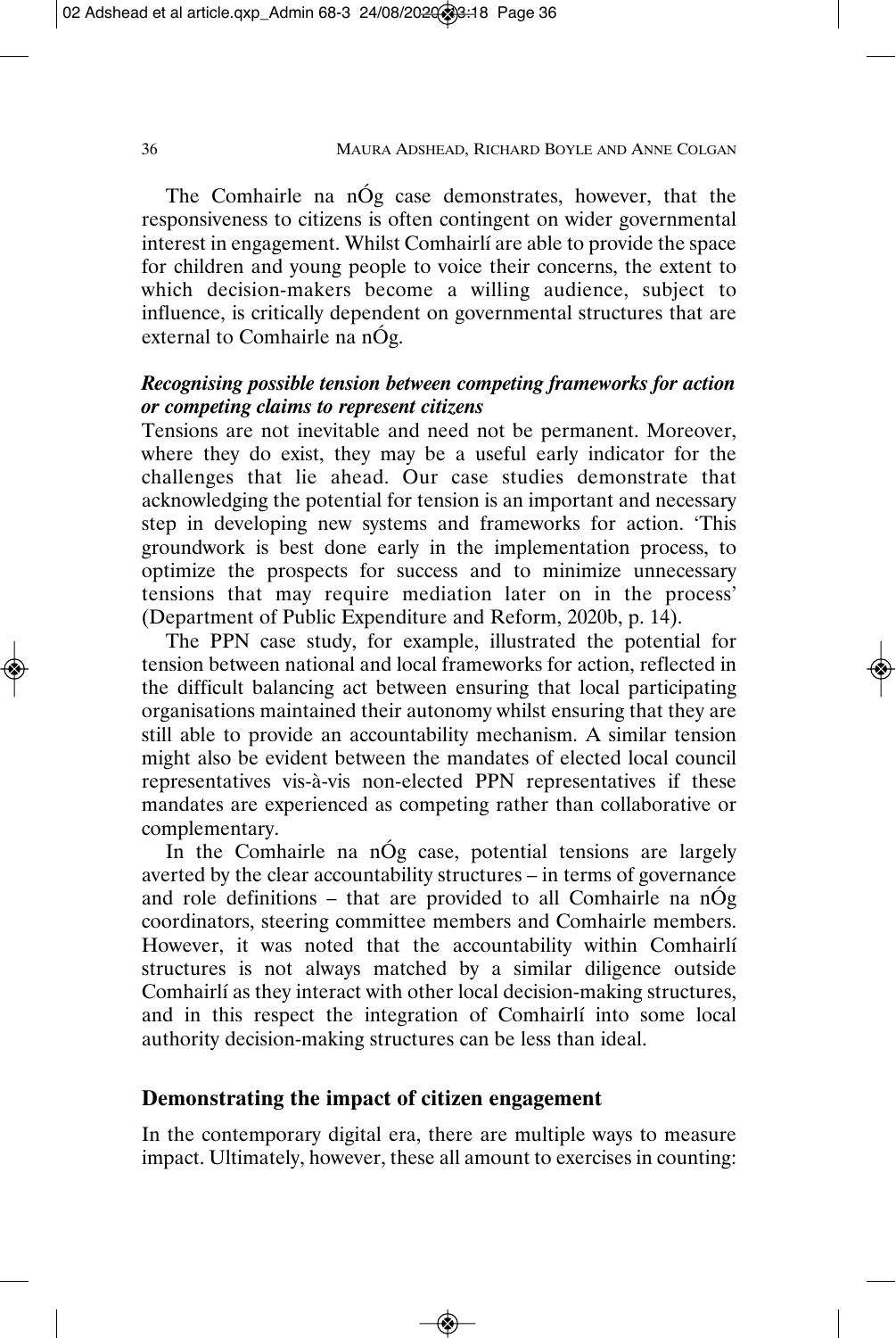The Comhairle na nÓg case demonstrates, however, that the responsiveness to citizens is often contingent on wider governmental interest in engagement. Whilst Comhairlí are able to provide the space for children and young people to voice their concerns, the extent to which decision-makers become a willing audience, subject to influence, is critically dependent on governmental structures that are external to Comhairle na nÓg.

## *Recognising possible tension between competing frameworks for action or competing claims to represent citizens*

Tensions are not inevitable and need not be permanent. Moreover, where they do exist, they may be a useful early indicator for the challenges that lie ahead. Our case studies demonstrate that acknowledging the potential for tension is an important and necessary step in developing new systems and frameworks for action. 'This groundwork is best done early in the implementation process, to optimize the prospects for success and to minimize unnecessary tensions that may require mediation later on in the process' (Department of Public Expenditure and Reform, 2020b, p. 14).

The PPN case study, for example, illustrated the potential for tension between national and local frameworks for action, reflected in the difficult balancing act between ensuring that local participating organisations maintained their autonomy whilst ensuring that they are still able to provide an accountability mechanism. A similar tension might also be evident between the mandates of elected local council representatives vis-à-vis non-elected PPN representatives if these mandates are experienced as competing rather than collaborative or complementary.

In the Comhairle na nÓg case, potential tensions are largely averted by the clear accountability structures – in terms of governance and role definitions – that are provided to all Comhairle na nÓg coordinators, steering committee members and Comhairle members. However, it was noted that the accountability within Comhairlí structures is not always matched by a similar diligence outside Comhairlí as they interact with other local decision-making structures, and in this respect the integration of Comhairlí into some local authority decision-making structures can be less than ideal.

#### **Demonstrating the impact of citizen engagement**

In the contemporary digital era, there are multiple ways to measure impact. Ultimately, however, these all amount to exercises in counting: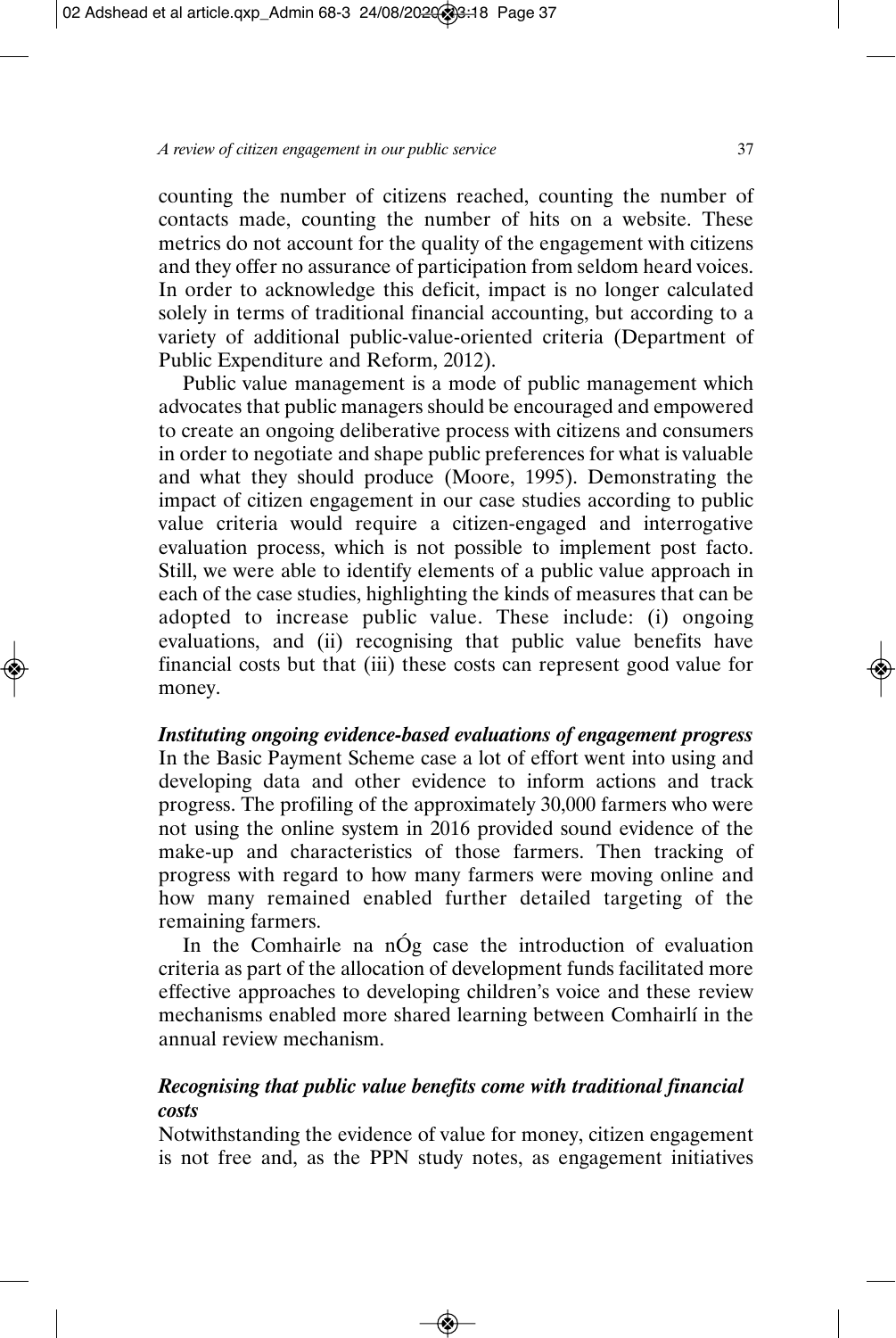counting the number of citizens reached, counting the number of contacts made, counting the number of hits on a website. These metrics do not account for the quality of the engagement with citizens and they offer no assurance of participation from seldom heard voices. In order to acknowledge this deficit, impact is no longer calculated solely in terms of traditional financial accounting, but according to a variety of additional public-value-oriented criteria (Department of Public Expenditure and Reform, 2012).

Public value management is a mode of public management which advocates that public managers should be encouraged and empowered to create an ongoing deliberative process with citizens and consumers in order to negotiate and shape public preferences for what is valuable and what they should produce (Moore, 1995). Demonstrating the impact of citizen engagement in our case studies according to public value criteria would require a citizen-engaged and interrogative evaluation process, which is not possible to implement post facto. Still, we were able to identify elements of a public value approach in each of the case studies, highlighting the kinds of measures that can be adopted to increase public value. These include: (i) ongoing evaluations, and (ii) recognising that public value benefits have financial costs but that (iii) these costs can represent good value for money.

#### *Instituting ongoing evidence-based evaluations of engagement progress*

In the Basic Payment Scheme case a lot of effort went into using and developing data and other evidence to inform actions and track progress. The profiling of the approximately 30,000 farmers who were not using the online system in 2016 provided sound evidence of the make-up and characteristics of those farmers. Then tracking of progress with regard to how many farmers were moving online and how many remained enabled further detailed targeting of the remaining farmers.

In the Comhairle na nÓg case the introduction of evaluation criteria as part of the allocation of development funds facilitated more effective approaches to developing children's voice and these review mechanisms enabled more shared learning between Comhairlí in the annual review mechanism.

#### *Recognising that public value benefits come with traditional financial costs*

Notwithstanding the evidence of value for money, citizen engagement is not free and, as the PPN study notes, as engagement initiatives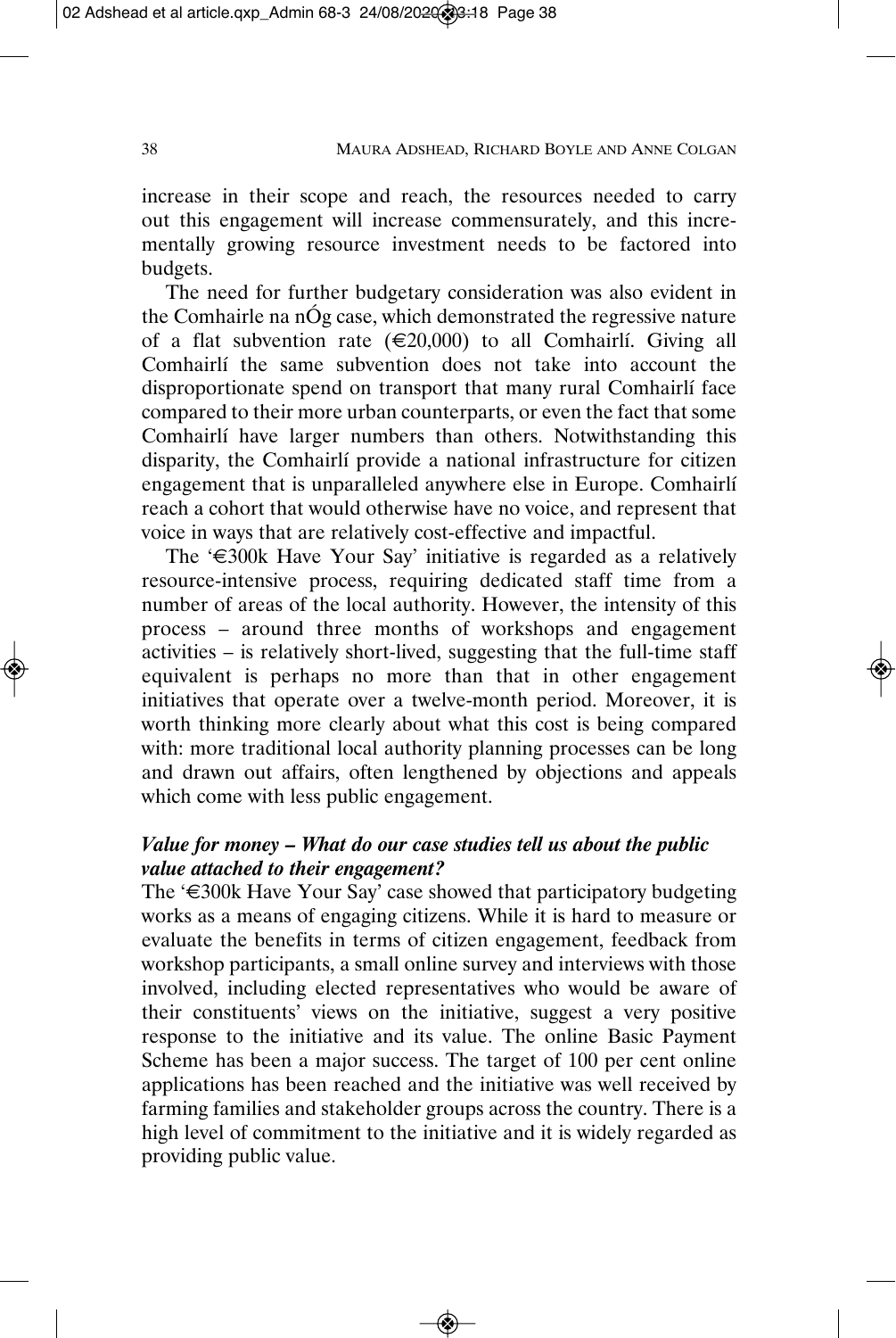increase in their scope and reach, the resources needed to carry out this engagement will increase commensurately, and this incrementally growing resource investment needs to be factored into budgets.

The need for further budgetary consideration was also evident in the Comhairle na nÓg case, which demonstrated the regressive nature of a flat subvention rate  $(\epsilon 20,000)$  to all Comhairlí. Giving all Comhairlí the same subvention does not take into account the disproportionate spend on transport that many rural Comhairlí face compared to their more urban counterparts, or even the fact that some Comhairlí have larger numbers than others. Notwithstanding this disparity, the Comhairlí provide a national infrastructure for citizen engagement that is unparalleled anywhere else in Europe. Comhairlí reach a cohort that would otherwise have no voice, and represent that voice in ways that are relatively cost-effective and impactful.

The ' $\epsilon$ 300k Have Your Say' initiative is regarded as a relatively resource-intensive process, requiring dedicated staff time from a number of areas of the local authority. However, the intensity of this process – around three months of workshops and engagement activities – is relatively short-lived, suggesting that the full-time staff equivalent is perhaps no more than that in other engagement initiatives that operate over a twelve-month period. Moreover, it is worth thinking more clearly about what this cost is being compared with: more traditional local authority planning processes can be long and drawn out affairs, often lengthened by objections and appeals which come with less public engagement.

## *Value for money – What do our case studies tell us about the public value attached to their engagement?*

The '€300k Have Your Say' case showed that participatory budgeting works as a means of engaging citizens. While it is hard to measure or evaluate the benefits in terms of citizen engagement, feedback from workshop participants, a small online survey and interviews with those involved, including elected representatives who would be aware of their constituents' views on the initiative, suggest a very positive response to the initiative and its value. The online Basic Payment Scheme has been a major success. The target of 100 per cent online applications has been reached and the initiative was well received by farming families and stakeholder groups across the country. There is a high level of commitment to the initiative and it is widely regarded as providing public value.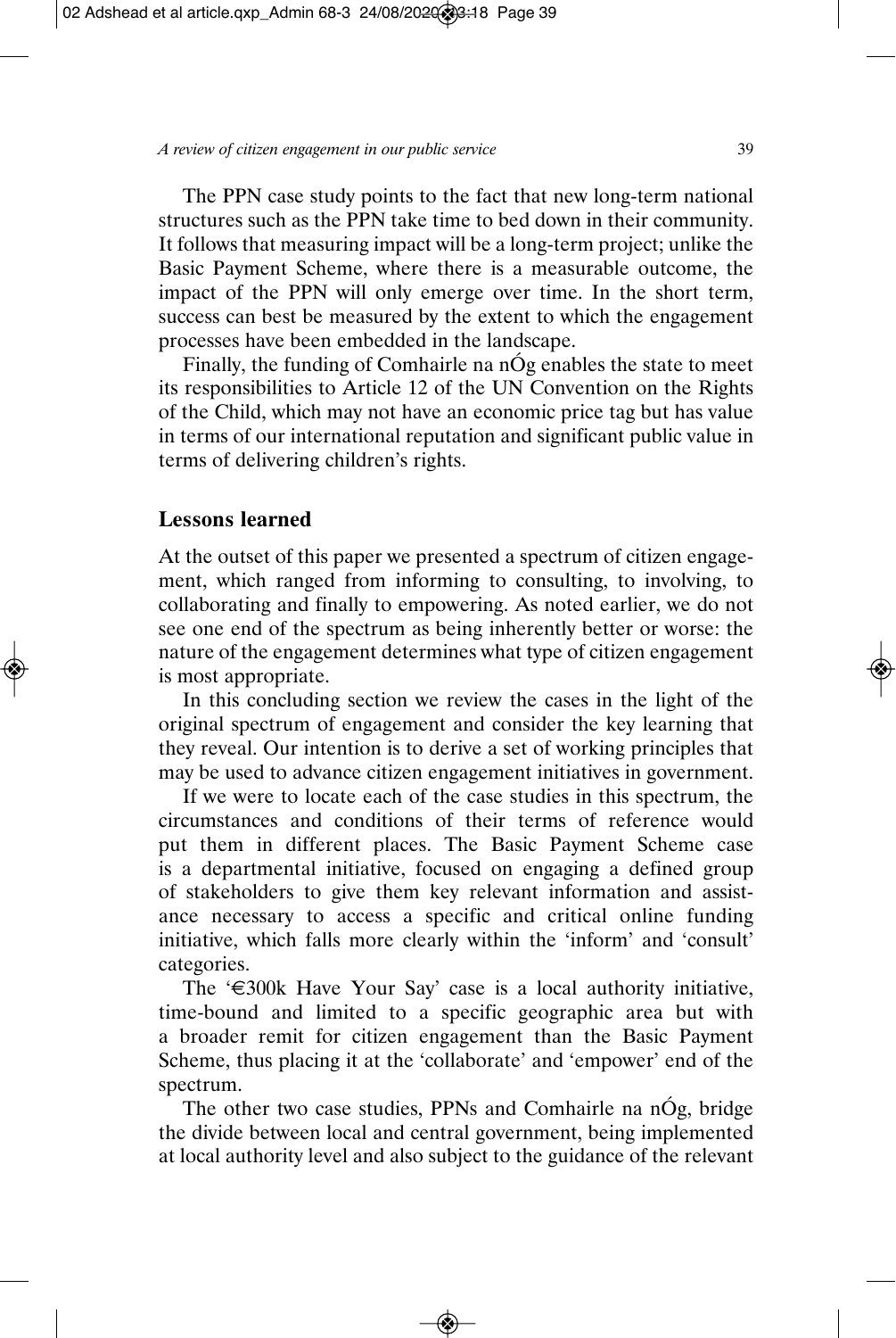The PPN case study points to the fact that new long-term national structures such as the PPN take time to bed down in their community. It follows that measuring impact will be a long-term project; unlike the Basic Payment Scheme, where there is a measurable outcome, the impact of the PPN will only emerge over time. In the short term, success can best be measured by the extent to which the engagement processes have been embedded in the landscape.

Finally, the funding of Comhairle na nÓg enables the state to meet its responsibilities to Article 12 of the UN Convention on the Rights of the Child, which may not have an economic price tag but has value in terms of our international reputation and significant public value in terms of delivering children's rights.

#### **Lessons learned**

At the outset of this paper we presented a spectrum of citizen engagement, which ranged from informing to consulting, to involving, to collaborating and finally to empowering. As noted earlier, we do not see one end of the spectrum as being inherently better or worse: the nature of the engagement determines what type of citizen engagement is most appropriate.

In this concluding section we review the cases in the light of the original spectrum of engagement and consider the key learning that they reveal. Our intention is to derive a set of working principles that may be used to advance citizen engagement initiatives in government.

If we were to locate each of the case studies in this spectrum, the circumstances and conditions of their terms of reference would put them in different places. The Basic Payment Scheme case is a departmental initiative, focused on engaging a defined group of stakeholders to give them key relevant information and assistance necessary to access a specific and critical online funding initiative, which falls more clearly within the 'inform' and 'consult' categories.

The '€300k Have Your Say' case is a local authority initiative, time-bound and limited to a specific geographic area but with a broader remit for citizen engagement than the Basic Payment Scheme, thus placing it at the 'collaborate' and 'empower' end of the spectrum.

The other two case studies, PPNs and Comhairle na nÓg, bridge the divide between local and central government, being implemented at local authority level and also subject to the guidance of the relevant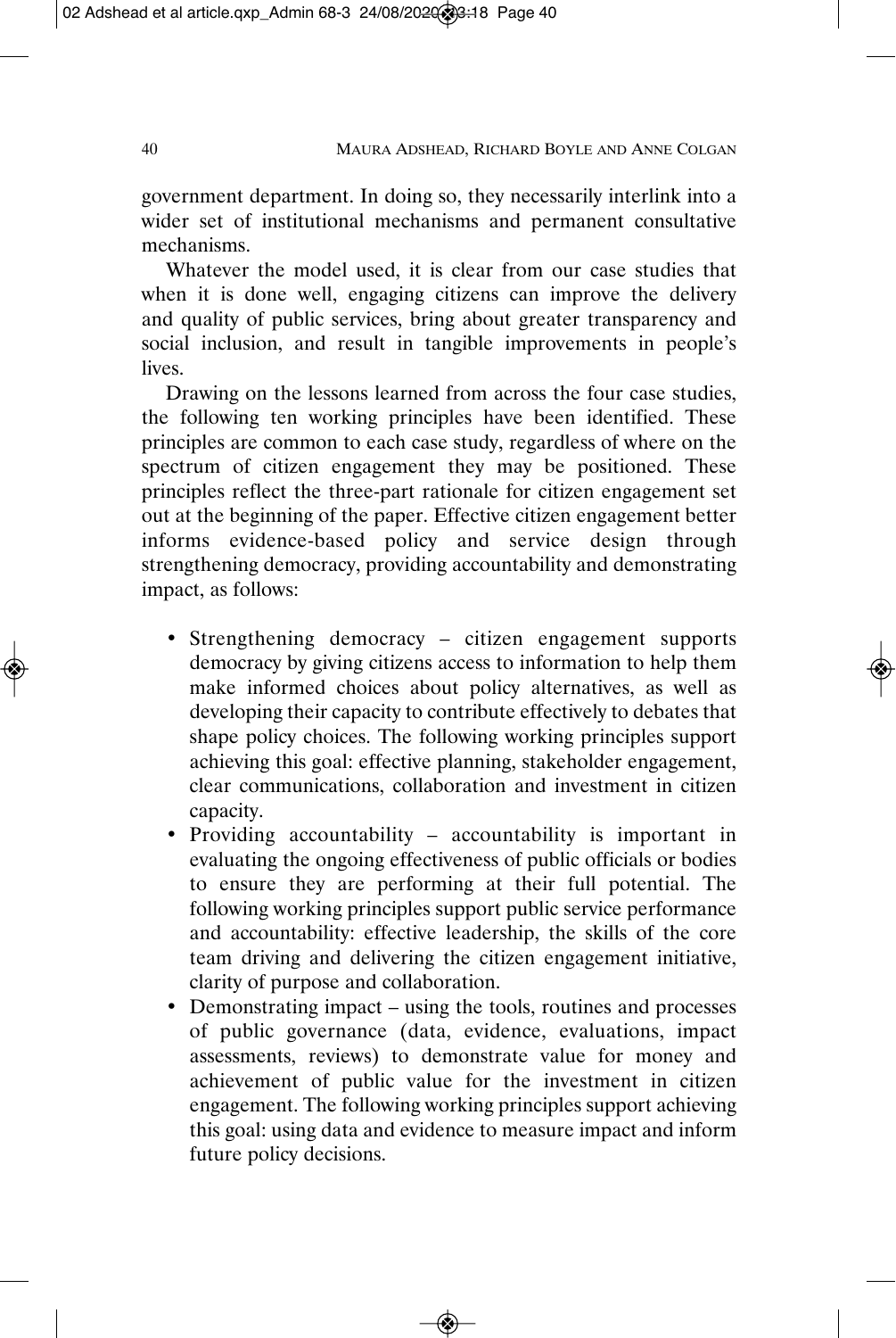government department. In doing so, they necessarily interlink into a wider set of institutional mechanisms and permanent consultative mechanisms.

Whatever the model used, it is clear from our case studies that when it is done well, engaging citizens can improve the delivery and quality of public services, bring about greater transparency and social inclusion, and result in tangible improvements in people's lives.

Drawing on the lessons learned from across the four case studies, the following ten working principles have been identified. These principles are common to each case study, regardless of where on the spectrum of citizen engagement they may be positioned. These principles reflect the three-part rationale for citizen engagement set out at the beginning of the paper. Effective citizen engagement better informs evidence-based policy and service design through strengthening democracy, providing accountability and demonstrating impact, as follows:

- Strengthening democracy citizen engagement supports democracy by giving citizens access to information to help them make informed choices about policy alternatives, as well as developing their capacity to contribute effectively to debates that shape policy choices. The following working principles support achieving this goal: effective planning, stakeholder engagement, clear communications, collaboration and investment in citizen capacity.
- Providing accountability accountability is important in evaluating the ongoing effectiveness of public officials or bodies to ensure they are performing at their full potential. The following working principles support public service performance and accountability: effective leadership, the skills of the core team driving and delivering the citizen engagement initiative, clarity of purpose and collaboration.
- Demonstrating impact using the tools, routines and processes of public governance (data, evidence, evaluations, impact assessments, reviews) to demonstrate value for money and achievement of public value for the investment in citizen engagement. The following working principles support achieving this goal: using data and evidence to measure impact and inform future policy decisions.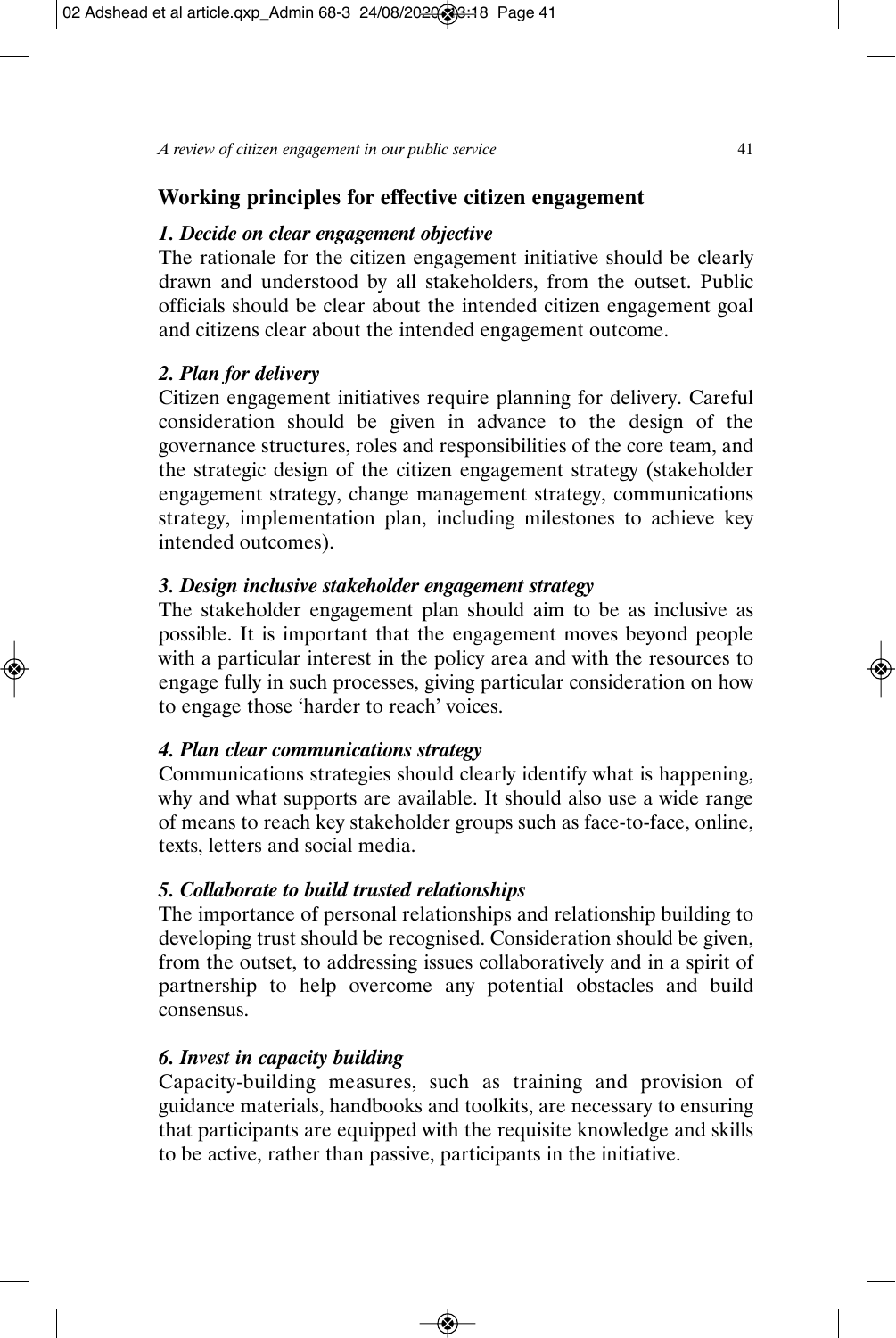# **Working principles for effective citizen engagement**

## *1. Decide on clear engagement objective*

The rationale for the citizen engagement initiative should be clearly drawn and understood by all stakeholders, from the outset. Public officials should be clear about the intended citizen engagement goal and citizens clear about the intended engagement outcome.

## *2. Plan for delivery*

Citizen engagement initiatives require planning for delivery. Careful consideration should be given in advance to the design of the governance structures, roles and responsibilities of the core team, and the strategic design of the citizen engagement strategy (stakeholder engagement strategy, change management strategy, communications strategy, implementation plan, including milestones to achieve key intended outcomes).

## *3. Design inclusive stakeholder engagement strategy*

The stakeholder engagement plan should aim to be as inclusive as possible. It is important that the engagement moves beyond people with a particular interest in the policy area and with the resources to engage fully in such processes, giving particular consideration on how to engage those 'harder to reach' voices.

## *4. Plan clear communications strategy*

Communications strategies should clearly identify what is happening, why and what supports are available. It should also use a wide range of means to reach key stakeholder groups such as face-to-face, online, texts, letters and social media.

## *5. Collaborate to build trusted relationships*

The importance of personal relationships and relationship building to developing trust should be recognised. Consideration should be given, from the outset, to addressing issues collaboratively and in a spirit of partnership to help overcome any potential obstacles and build consensus.

# *6. Invest in capacity building*

Capacity-building measures, such as training and provision of guidance materials, handbooks and toolkits, are necessary to ensuring that participants are equipped with the requisite knowledge and skills to be active, rather than passive, participants in the initiative.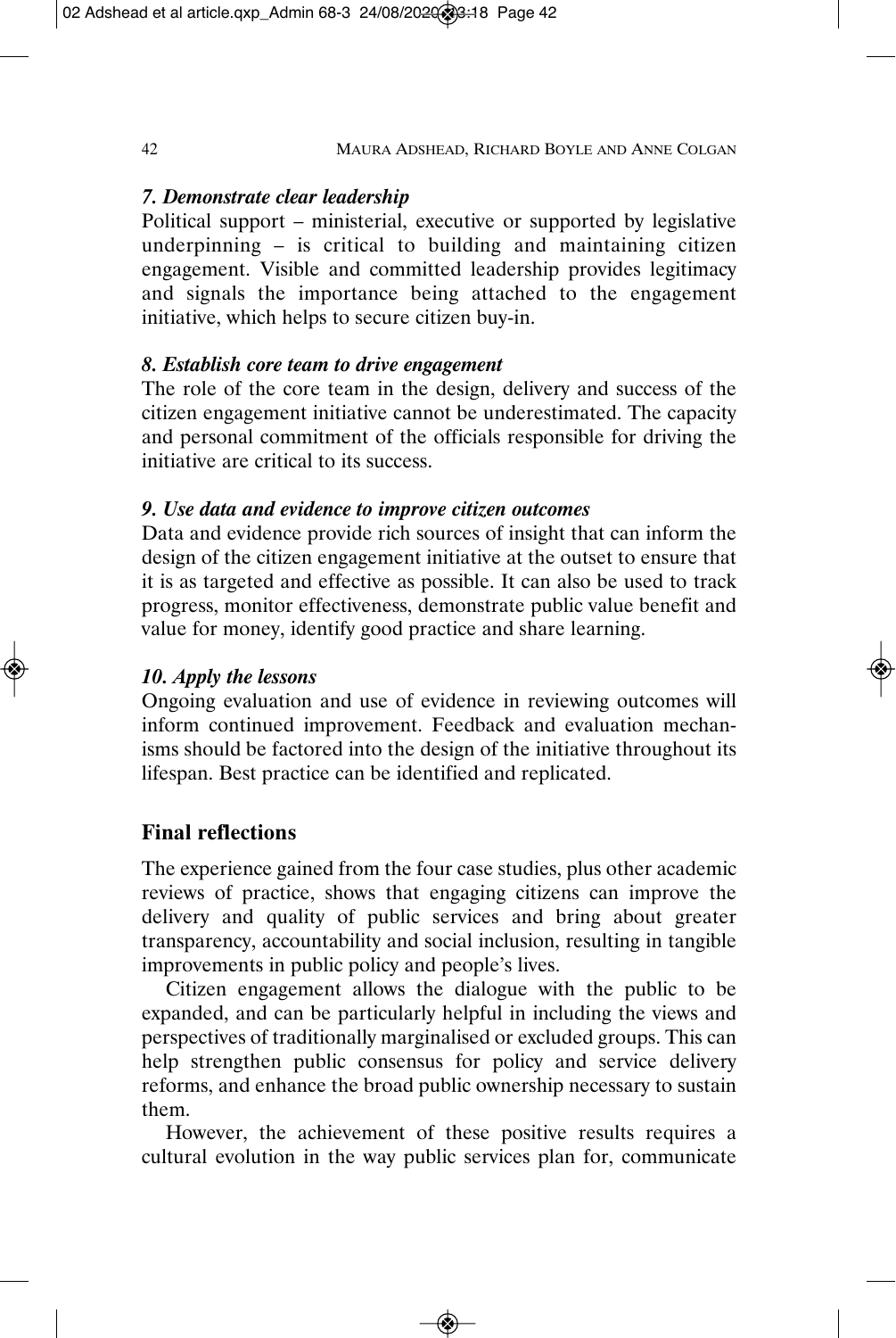#### *7. Demonstrate clear leadership*

Political support – ministerial, executive or supported by legislative underpinning – is critical to building and maintaining citizen engagement. Visible and committed leadership provides legitimacy and signals the importance being attached to the engagement initiative, which helps to secure citizen buy-in.

## *8. Establish core team to drive engagement*

The role of the core team in the design, delivery and success of the citizen engagement initiative cannot be underestimated. The capacity and personal commitment of the officials responsible for driving the initiative are critical to its success.

## *9. Use data and evidence to improve citizen outcomes*

Data and evidence provide rich sources of insight that can inform the design of the citizen engagement initiative at the outset to ensure that it is as targeted and effective as possible. It can also be used to track progress, monitor effectiveness, demonstrate public value benefit and value for money, identify good practice and share learning.

## *10. Apply the lessons*

Ongoing evaluation and use of evidence in reviewing outcomes will inform continued improvement. Feedback and evaluation mechanisms should be factored into the design of the initiative throughout its lifespan. Best practice can be identified and replicated.

# **Final reflections**

The experience gained from the four case studies, plus other academic reviews of practice, shows that engaging citizens can improve the delivery and quality of public services and bring about greater transparency, accountability and social inclusion, resulting in tangible improvements in public policy and people's lives.

Citizen engagement allows the dialogue with the public to be expanded, and can be particularly helpful in including the views and perspectives of traditionally marginalised or excluded groups. This can help strengthen public consensus for policy and service delivery reforms, and enhance the broad public ownership necessary to sustain them.

However, the achievement of these positive results requires a cultural evolution in the way public services plan for, communicate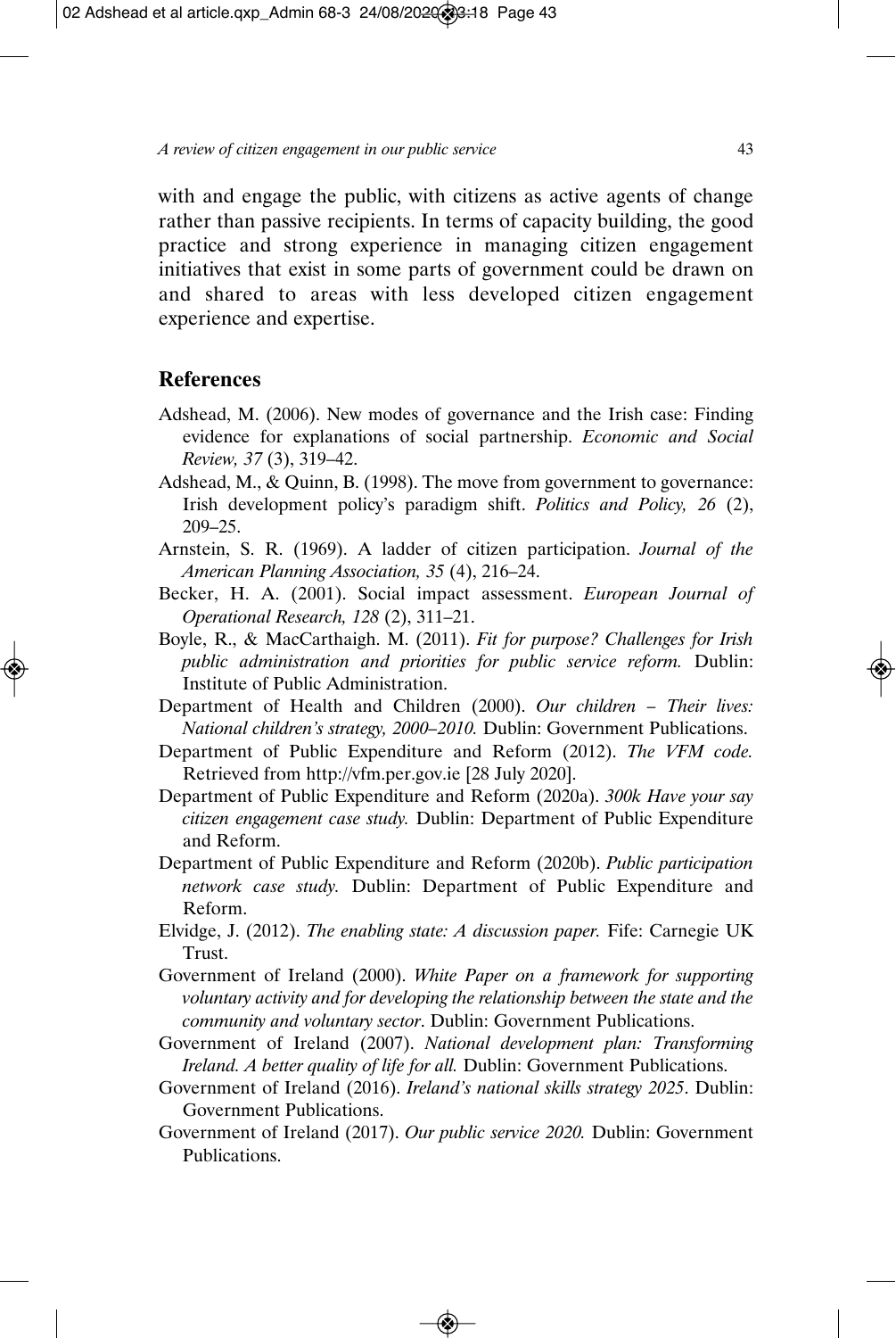with and engage the public, with citizens as active agents of change rather than passive recipients. In terms of capacity building, the good practice and strong experience in managing citizen engagement initiatives that exist in some parts of government could be drawn on and shared to areas with less developed citizen engagement experience and expertise.

#### **References**

- Adshead, M. (2006). New modes of governance and the Irish case: Finding evidence for explanations of social partnership. *Economic and Social Review, 37* (3), 319–42.
- Adshead, M., & Quinn, B. (1998). The move from government to governance: Irish development policy's paradigm shift. *Politics and Policy, 26* (2), 209–25.
- Arnstein, S. R. (1969). A ladder of citizen participation. *Journal of the American Planning Association, 35* (4), 216–24.
- Becker, H. A. (2001). Social impact assessment. *European Journal of Operational Research, 128 (2), 311-21.*
- Boyle, R., & MacCarthaigh. M. (2011). *Fit for purpose? Challenges for Irish public administration and priorities for public service reform.* Dublin: Institute of Public Administration.
- Department of Health and Children (2000). *Our children Their lives: National children's strategy, 2000–2010.* Dublin: Government Publications.
- Department of Public Expenditure and Reform (2012). *The VFM code.* Retrieved from http://vfm.per.gov.ie [28 July 2020].
- Department of Public Expenditure and Reform (2020a). *300k Have your say citizen engagement case study.* Dublin: Department of Public Expenditure and Reform.
- Department of Public Expenditure and Reform (2020b). *Public participation network case study.* Dublin: Department of Public Expenditure and Reform.
- Elvidge, J. (2012). *The enabling state: A discussion paper.* Fife: Carnegie UK Trust.
- Government of Ireland (2000). *White Paper on a framework for supporting voluntary activity and for developing the relationship between the state and the community and voluntary sector*. Dublin: Government Publications.
- Government of Ireland (2007). *National development plan: Transforming Ireland. A better quality of life for all.* Dublin: Government Publications.
- Government of Ireland (2016). *Ireland's national skills strategy 2025*. Dublin: Government Publications.
- Government of Ireland (2017). *Our public service 2020.* Dublin: Government Publications.